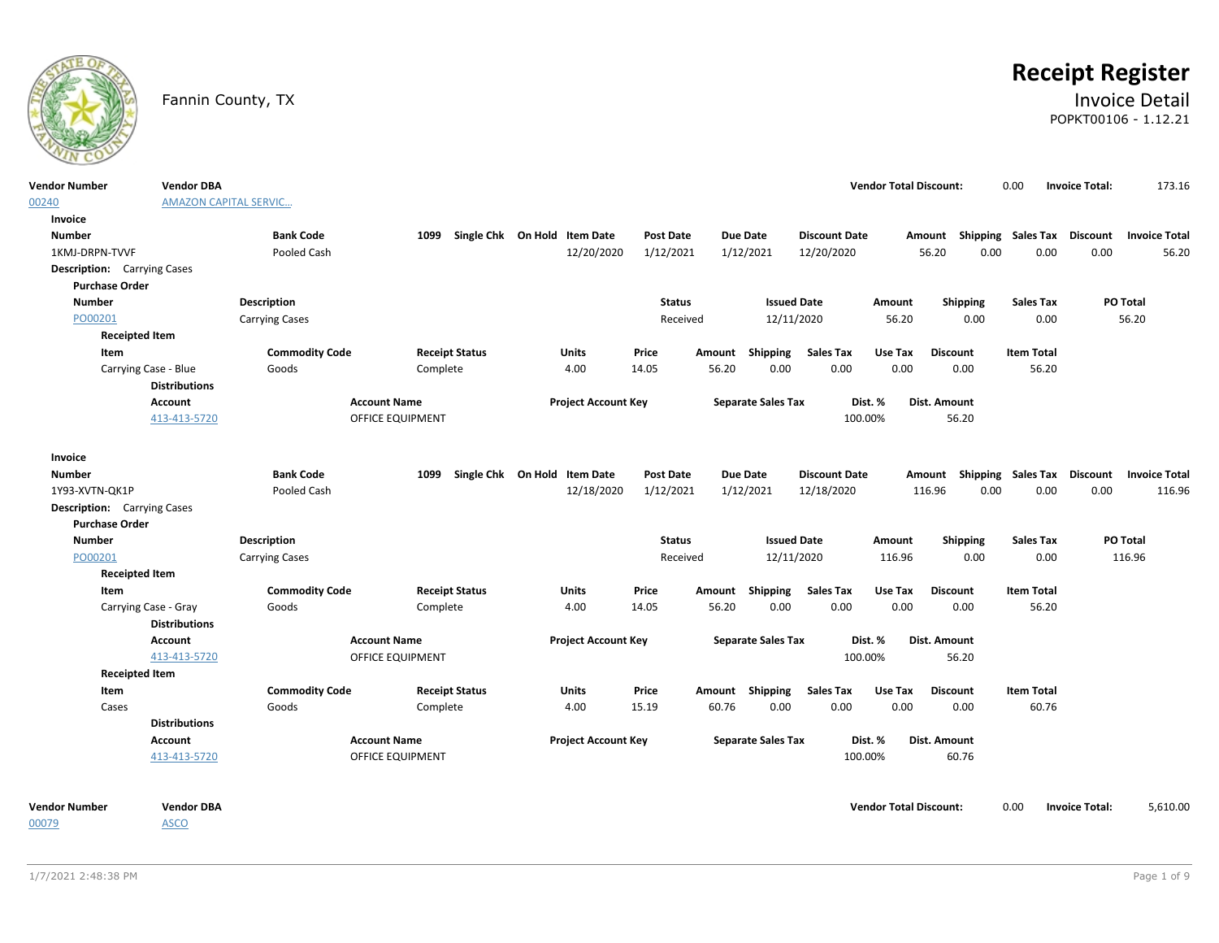

# **Receipt Register**

### Fannin County, TX **Invoice Detail** POPKT00106 - 1.12.21

| <b>Vendor Number</b>               | <b>Vendor DBA</b>            |                       |                       |                                   |                  |        |                           |                      | <b>Vendor Total Discount:</b> |                                                  | 0.00              | <b>Invoice Total:</b> | 173.16   |
|------------------------------------|------------------------------|-----------------------|-----------------------|-----------------------------------|------------------|--------|---------------------------|----------------------|-------------------------------|--------------------------------------------------|-------------------|-----------------------|----------|
| 00240                              | <b>AMAZON CAPITAL SERVIC</b> |                       |                       |                                   |                  |        |                           |                      |                               |                                                  |                   |                       |          |
| Invoice                            |                              |                       |                       |                                   |                  |        |                           |                      |                               |                                                  |                   |                       |          |
| <b>Number</b>                      |                              | <b>Bank Code</b>      |                       | 1099 Single Chk On Hold Item Date | <b>Post Date</b> |        | <b>Due Date</b>           | <b>Discount Date</b> |                               | Amount Shipping Sales Tax Discount Invoice Total |                   |                       |          |
| 1KMJ-DRPN-TVVF                     |                              | Pooled Cash           |                       | 12/20/2020                        | 1/12/2021        |        | 1/12/2021                 | 12/20/2020           |                               | 56.20<br>0.00                                    | 0.00              | 0.00                  | 56.20    |
| <b>Description:</b> Carrying Cases |                              |                       |                       |                                   |                  |        |                           |                      |                               |                                                  |                   |                       |          |
| <b>Purchase Order</b>              |                              |                       |                       |                                   |                  |        |                           |                      |                               |                                                  |                   |                       |          |
| <b>Number</b>                      |                              | Description           |                       |                                   | <b>Status</b>    |        | <b>Issued Date</b>        |                      | Amount                        | Shipping                                         | <b>Sales Tax</b>  |                       | PO Total |
| PO00201                            |                              | <b>Carrying Cases</b> |                       |                                   | Received         |        | 12/11/2020                |                      | 56.20                         | 0.00                                             | 0.00              |                       | 56.20    |
| <b>Receipted Item</b>              |                              |                       |                       |                                   |                  |        |                           |                      |                               |                                                  |                   |                       |          |
| Item                               |                              | <b>Commodity Code</b> | <b>Receipt Status</b> | <b>Units</b>                      | Price            | Amount | Shipping                  | <b>Sales Tax</b>     | Use Tax                       | <b>Discount</b>                                  | <b>Item Total</b> |                       |          |
| Carrying Case - Blue               |                              | Goods                 | Complete              | 4.00                              | 14.05            | 56.20  | 0.00                      | 0.00                 | 0.00                          | 0.00                                             | 56.20             |                       |          |
|                                    | <b>Distributions</b>         |                       |                       |                                   |                  |        |                           |                      |                               |                                                  |                   |                       |          |
|                                    | Account                      |                       | <b>Account Name</b>   | <b>Project Account Key</b>        |                  |        | <b>Separate Sales Tax</b> |                      | Dist. %                       | Dist. Amount                                     |                   |                       |          |
|                                    | 413-413-5720                 |                       | OFFICE EQUIPMENT      |                                   |                  |        |                           | 100.00%              |                               | 56.20                                            |                   |                       |          |
|                                    |                              |                       |                       |                                   |                  |        |                           |                      |                               |                                                  |                   |                       |          |
| Invoice                            |                              |                       |                       |                                   |                  |        |                           |                      |                               |                                                  |                   |                       |          |
| <b>Number</b>                      |                              | <b>Bank Code</b>      |                       | 1099 Single Chk On Hold Item Date | <b>Post Date</b> |        | Due Date                  | <b>Discount Date</b> |                               | Amount Shipping Sales Tax Discount Invoice Total |                   |                       |          |
| 1Y93-XVTN-QK1P                     |                              | Pooled Cash           |                       | 12/18/2020                        | 1/12/2021        |        | 1/12/2021                 | 12/18/2020           |                               | 116.96<br>0.00                                   | 0.00              | 0.00                  | 116.96   |
| <b>Description:</b> Carrying Cases |                              |                       |                       |                                   |                  |        |                           |                      |                               |                                                  |                   |                       |          |
| <b>Purchase Order</b>              |                              |                       |                       |                                   |                  |        |                           |                      |                               |                                                  |                   |                       |          |
| <b>Number</b>                      |                              | Description           |                       |                                   | <b>Status</b>    |        | <b>Issued Date</b>        |                      | Amount                        | Shipping                                         | <b>Sales Tax</b>  |                       | PO Total |
| PO00201                            |                              | <b>Carrying Cases</b> |                       |                                   | Received         |        | 12/11/2020                |                      | 116.96                        | 0.00                                             | 0.00              |                       | 116.96   |
| <b>Receipted Item</b>              |                              |                       |                       |                                   |                  |        |                           |                      |                               |                                                  |                   |                       |          |
| Item                               |                              | <b>Commodity Code</b> | <b>Receipt Status</b> | Units                             | Price            | Amount | Shipping                  | <b>Sales Tax</b>     | Use Tax                       | <b>Discount</b>                                  | <b>Item Total</b> |                       |          |
| Carrying Case - Gray               |                              | Goods                 | Complete              | 4.00                              | 14.05            | 56.20  | 0.00                      | 0.00                 | 0.00                          | 0.00                                             | 56.20             |                       |          |
|                                    | <b>Distributions</b>         |                       |                       |                                   |                  |        |                           |                      |                               |                                                  |                   |                       |          |
|                                    | Account                      |                       | <b>Account Name</b>   | <b>Project Account Key</b>        |                  |        | <b>Separate Sales Tax</b> |                      | Dist. %                       | Dist. Amount                                     |                   |                       |          |
|                                    | 413-413-5720                 |                       | OFFICE EQUIPMENT      |                                   |                  |        |                           | 100.00%              |                               | 56.20                                            |                   |                       |          |
| <b>Receipted Item</b>              |                              |                       |                       |                                   |                  |        |                           |                      |                               |                                                  |                   |                       |          |
| Item                               |                              | <b>Commodity Code</b> | <b>Receipt Status</b> | <b>Units</b>                      | Price            |        | Amount Shipping           | <b>Sales Tax</b>     | Use Tax                       | <b>Discount</b>                                  | <b>Item Total</b> |                       |          |
| Cases                              |                              | Goods                 | Complete              | 4.00                              | 15.19            | 60.76  | 0.00                      | 0.00                 | 0.00                          | 0.00                                             | 60.76             |                       |          |
|                                    | <b>Distributions</b>         |                       |                       |                                   |                  |        |                           |                      |                               |                                                  |                   |                       |          |
|                                    | Account                      |                       | <b>Account Name</b>   | <b>Project Account Key</b>        |                  |        | <b>Separate Sales Tax</b> |                      | Dist. %                       | Dist. Amount                                     |                   |                       |          |
|                                    | 413-413-5720                 |                       | OFFICE EQUIPMENT      |                                   |                  |        |                           | 100.00%              |                               | 60.76                                            |                   |                       |          |
|                                    |                              |                       |                       |                                   |                  |        |                           |                      |                               |                                                  |                   |                       |          |
| <b>Vendor Number</b>               | <b>Vendor DBA</b>            |                       |                       |                                   |                  |        |                           |                      | <b>Vendor Total Discount:</b> |                                                  | 0.00              | <b>Invoice Total:</b> | 5,610.00 |

00079

ASCO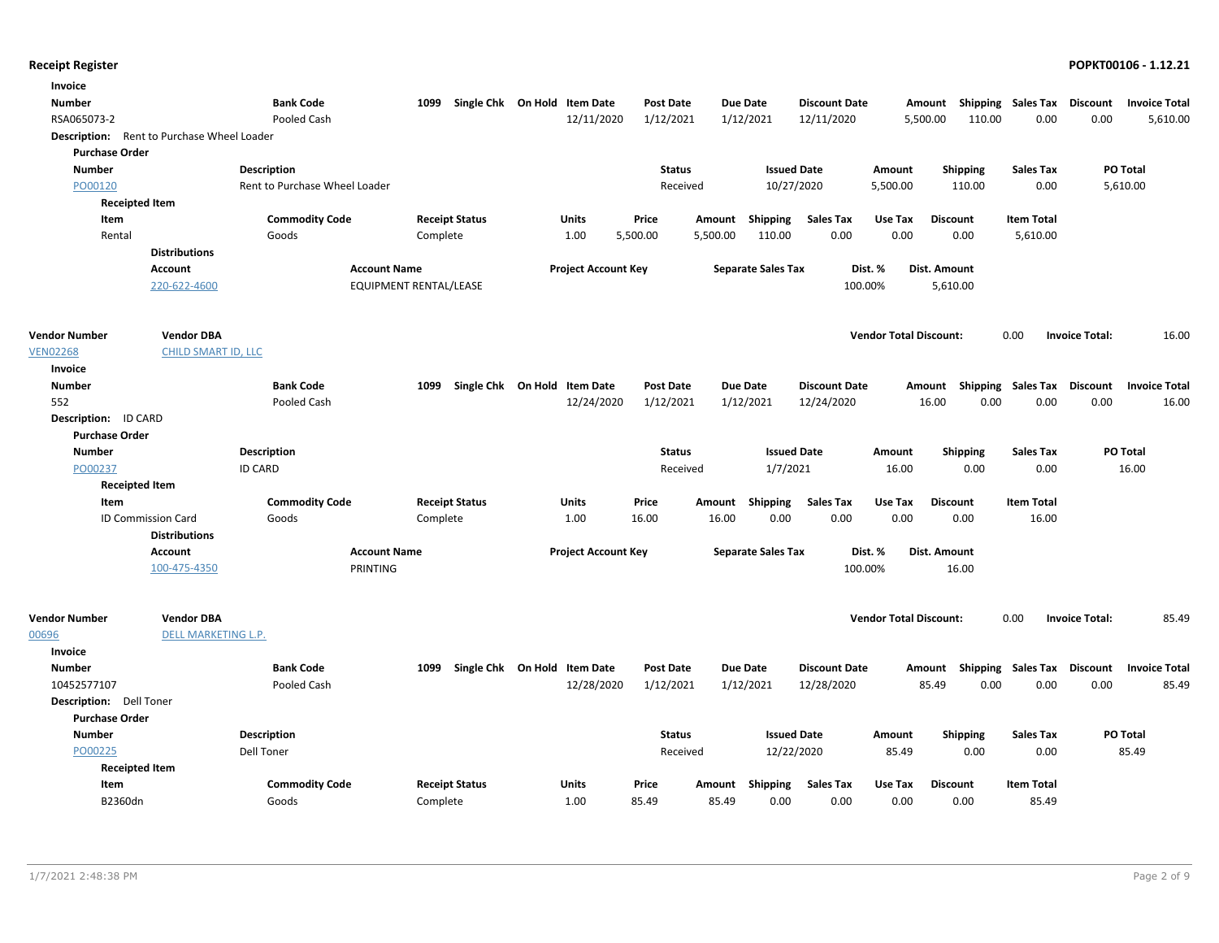| Invoice<br><b>Number</b><br>RSA065073-2    |                                          | <b>Bank Code</b><br>Pooled Cash | 1099                   | Single Chk On Hold Item Date | 12/11/2020                 | Post Date<br>1/12/2021 |          | <b>Due Date</b><br>1/12/2021 | <b>Discount Date</b><br>12/11/2020 |                               | Amount<br>5,500.00<br>110.00 | Shipping Sales Tax<br>0.00 | Discount<br>0.00      | <b>Invoice Total</b><br>5,610.00 |
|--------------------------------------------|------------------------------------------|---------------------------------|------------------------|------------------------------|----------------------------|------------------------|----------|------------------------------|------------------------------------|-------------------------------|------------------------------|----------------------------|-----------------------|----------------------------------|
| Description: Rent to Purchase Wheel Loader |                                          |                                 |                        |                              |                            |                        |          |                              |                                    |                               |                              |                            |                       |                                  |
| <b>Purchase Order</b>                      |                                          |                                 |                        |                              |                            |                        |          |                              |                                    |                               |                              |                            |                       |                                  |
| <b>Number</b>                              |                                          | <b>Description</b>              |                        |                              |                            | <b>Status</b>          |          |                              | <b>Issued Date</b>                 | Amount                        | <b>Shipping</b>              | <b>Sales Tax</b>           |                       | PO Total                         |
| PO00120                                    |                                          | Rent to Purchase Wheel Loader   |                        |                              |                            | Received               |          | 10/27/2020                   |                                    | 5,500.00                      | 110.00                       | 0.00                       |                       | 5,610.00                         |
| <b>Receipted Item</b>                      |                                          |                                 |                        |                              |                            |                        |          |                              |                                    |                               |                              |                            |                       |                                  |
| Item                                       |                                          | <b>Commodity Code</b>           |                        | <b>Receipt Status</b>        | <b>Units</b>               | Price                  | Amount   | Shipping                     | <b>Sales Tax</b>                   | Use Tax                       | <b>Discount</b>              | <b>Item Total</b>          |                       |                                  |
| Rental                                     |                                          | Goods                           | Complete               |                              | 1.00                       | 5,500.00               | 5,500.00 | 110.00                       | 0.00                               | 0.00                          | 0.00                         | 5,610.00                   |                       |                                  |
|                                            | <b>Distributions</b>                     |                                 |                        |                              |                            |                        |          |                              |                                    |                               |                              |                            |                       |                                  |
|                                            | <b>Account</b>                           |                                 | <b>Account Name</b>    |                              | <b>Project Account Key</b> |                        |          | <b>Separate Sales Tax</b>    |                                    | Dist. %                       | Dist. Amount                 |                            |                       |                                  |
|                                            | 220-622-4600                             |                                 | EQUIPMENT RENTAL/LEASE |                              |                            |                        |          |                              |                                    | 100.00%                       | 5,610.00                     |                            |                       |                                  |
| <b>Vendor Number</b>                       | <b>Vendor DBA</b>                        |                                 |                        |                              |                            |                        |          |                              |                                    | <b>Vendor Total Discount:</b> |                              | 0.00                       | <b>Invoice Total:</b> | 16.00                            |
| <b>VEN02268</b>                            | <b>CHILD SMART ID, LLC</b>               |                                 |                        |                              |                            |                        |          |                              |                                    |                               |                              |                            |                       |                                  |
| Invoice                                    |                                          |                                 |                        |                              |                            |                        |          |                              |                                    |                               |                              |                            |                       |                                  |
| <b>Number</b>                              |                                          | <b>Bank Code</b>                | 1099                   | Single Chk On Hold Item Date |                            | <b>Post Date</b>       |          | <b>Due Date</b>              | <b>Discount Date</b>               |                               | Amount Shipping Sales Tax    |                            | <b>Discount</b>       | <b>Invoice Total</b>             |
| 552                                        |                                          | Pooled Cash                     |                        |                              | 12/24/2020                 | 1/12/2021              |          | 1/12/2021                    | 12/24/2020                         |                               | 16.00<br>0.00                | 0.00                       | 0.00                  | 16.00                            |
| Description: ID CARD                       |                                          |                                 |                        |                              |                            |                        |          |                              |                                    |                               |                              |                            |                       |                                  |
| <b>Purchase Order</b>                      |                                          |                                 |                        |                              |                            |                        |          |                              |                                    |                               |                              |                            |                       |                                  |
| <b>Number</b>                              |                                          | Description                     |                        |                              |                            | <b>Status</b>          |          |                              | <b>Issued Date</b>                 | Amount                        | <b>Shipping</b>              | <b>Sales Tax</b>           |                       | PO Total                         |
| PO00237                                    |                                          | <b>ID CARD</b>                  |                        |                              |                            | Received               |          | 1/7/2021                     |                                    | 16.00                         | 0.00                         | 0.00                       |                       | 16.00                            |
| <b>Receipted Item</b>                      |                                          |                                 |                        |                              |                            |                        |          |                              |                                    |                               |                              |                            |                       |                                  |
| Item                                       |                                          | <b>Commodity Code</b>           |                        | <b>Receipt Status</b>        | Units                      | Price                  | Amount   | Shipping                     | <b>Sales Tax</b>                   | Use Tax                       | <b>Discount</b>              | <b>Item Total</b>          |                       |                                  |
|                                            | ID Commission Card                       | Goods                           | Complete               |                              | 1.00                       | 16.00                  | 16.00    | 0.00                         | 0.00                               | 0.00                          | 0.00                         | 16.00                      |                       |                                  |
|                                            | <b>Distributions</b><br><b>Account</b>   |                                 | <b>Account Name</b>    |                              | <b>Project Account Key</b> |                        |          | <b>Separate Sales Tax</b>    |                                    | Dist. %                       | <b>Dist. Amount</b>          |                            |                       |                                  |
|                                            | 100-475-4350                             |                                 | PRINTING               |                              |                            |                        |          |                              |                                    | 100.00%                       | 16.00                        |                            |                       |                                  |
| <b>Vendor Number</b><br>00696              | <b>Vendor DBA</b><br>DELL MARKETING L.P. |                                 |                        |                              |                            |                        |          |                              |                                    | <b>Vendor Total Discount:</b> |                              | 0.00                       | <b>Invoice Total:</b> | 85.49                            |
| Invoice                                    |                                          |                                 |                        |                              |                            |                        |          |                              |                                    |                               |                              |                            |                       |                                  |
| <b>Number</b>                              |                                          | <b>Bank Code</b>                | 1099                   | Single Chk On Hold Item Date |                            | <b>Post Date</b>       |          | <b>Due Date</b>              | <b>Discount Date</b>               |                               | Amount Shipping              | Sales Tax                  | <b>Discount</b>       | <b>Invoice Total</b>             |
| 10452577107                                |                                          | Pooled Cash                     |                        |                              | 12/28/2020                 | 1/12/2021              |          | 1/12/2021                    | 12/28/2020                         |                               | 0.00<br>85.49                | 0.00                       | 0.00                  | 85.49                            |
| Description: Dell Toner                    |                                          |                                 |                        |                              |                            |                        |          |                              |                                    |                               |                              |                            |                       |                                  |
| <b>Purchase Order</b>                      |                                          |                                 |                        |                              |                            |                        |          |                              |                                    |                               |                              |                            |                       |                                  |
| <b>Number</b>                              |                                          | Description                     |                        |                              |                            | <b>Status</b>          |          |                              | <b>Issued Date</b>                 | Amount                        | <b>Shipping</b>              | <b>Sales Tax</b>           |                       | PO Total                         |
| PO00225                                    |                                          | <b>Dell Toner</b>               |                        |                              |                            | Received               |          |                              | 12/22/2020                         | 85.49                         | 0.00                         | 0.00                       |                       | 85.49                            |
| <b>Receipted Item</b>                      |                                          |                                 |                        |                              |                            |                        |          |                              |                                    |                               |                              |                            |                       |                                  |
| Item                                       |                                          | <b>Commodity Code</b>           |                        | <b>Receipt Status</b>        | Units                      | Price                  | Amount   | <b>Shipping</b>              | <b>Sales Tax</b>                   | Use Tax                       | <b>Discount</b>              | <b>Item Total</b>          |                       |                                  |
| B2360dn                                    |                                          | Goods                           | Complete               |                              | 1.00                       | 85.49                  | 85.49    | 0.00                         | 0.00                               | 0.00                          | 0.00                         | 85.49                      |                       |                                  |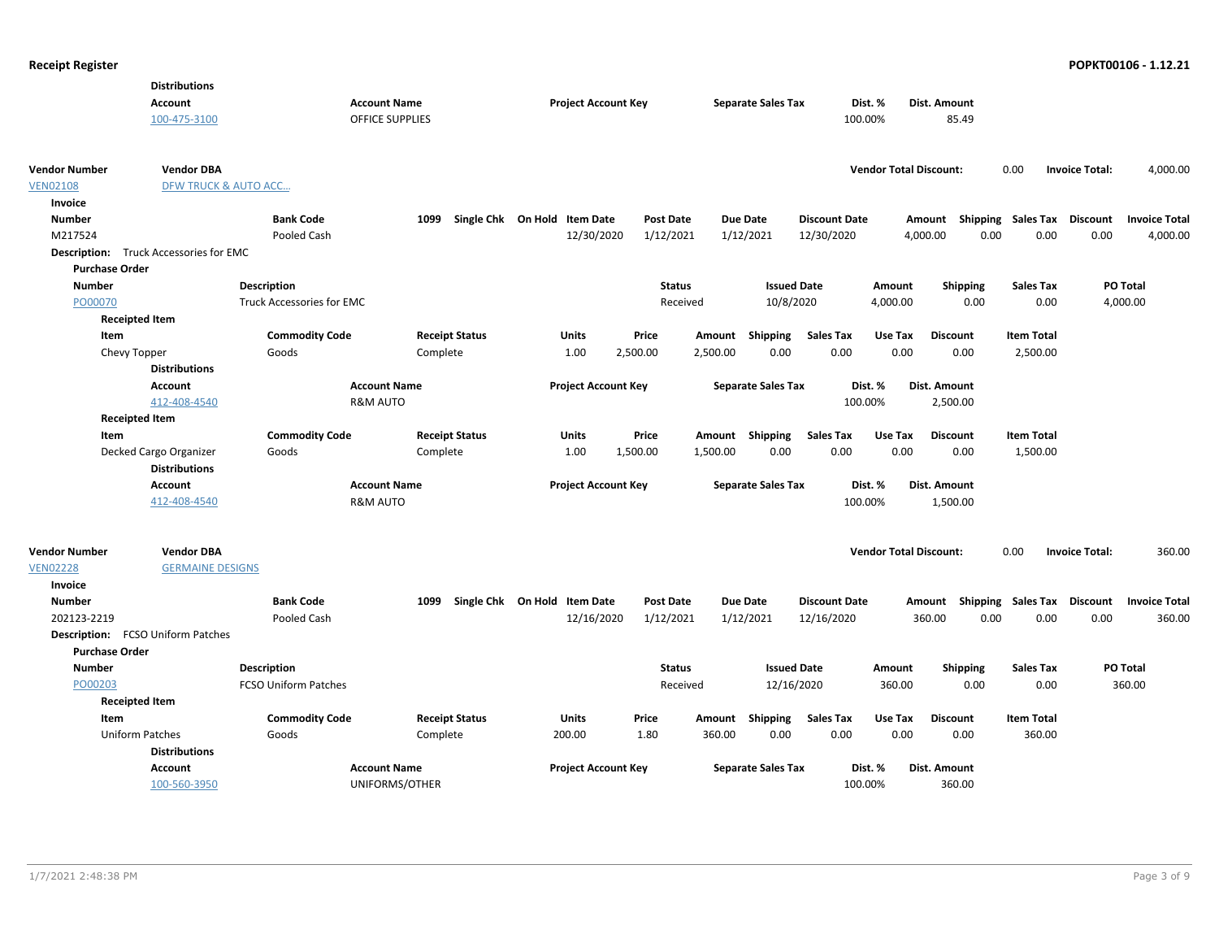|                       | <b>Distributions</b>                          |                             |                       |                              |                  |          |                           |                      |                               |                           |                           |                       |                      |
|-----------------------|-----------------------------------------------|-----------------------------|-----------------------|------------------------------|------------------|----------|---------------------------|----------------------|-------------------------------|---------------------------|---------------------------|-----------------------|----------------------|
|                       | <b>Account</b>                                | <b>Account Name</b>         |                       | <b>Project Account Key</b>   |                  |          | <b>Separate Sales Tax</b> |                      | Dist. %                       | Dist. Amount              |                           |                       |                      |
|                       | 100-475-3100                                  | <b>OFFICE SUPPLIES</b>      |                       |                              |                  |          |                           |                      | 100.00%                       | 85.49                     |                           |                       |                      |
|                       |                                               |                             |                       |                              |                  |          |                           |                      |                               |                           |                           |                       |                      |
| <b>Vendor Number</b>  | <b>Vendor DBA</b>                             |                             |                       |                              |                  |          |                           |                      | <b>Vendor Total Discount:</b> |                           | 0.00                      | <b>Invoice Total:</b> | 4,000.00             |
| <b>VEN02108</b>       | <b>DFW TRUCK &amp; AUTO ACC</b>               |                             |                       |                              |                  |          |                           |                      |                               |                           |                           |                       |                      |
| Invoice               |                                               |                             |                       |                              |                  |          |                           |                      |                               |                           |                           |                       |                      |
| <b>Number</b>         |                                               | <b>Bank Code</b>            | 1099                  | Single Chk On Hold Item Date | Post Date        |          | <b>Due Date</b>           | <b>Discount Date</b> |                               | Amount                    | <b>Shipping Sales Tax</b> | <b>Discount</b>       | <b>Invoice Total</b> |
| M217524               |                                               | Pooled Cash                 |                       | 12/30/2020                   | 1/12/2021        |          | 1/12/2021                 | 12/30/2020           |                               | 0.00<br>4,000.00          | 0.00                      | 0.00                  | 4,000.00             |
|                       | <b>Description:</b> Truck Accessories for EMC |                             |                       |                              |                  |          |                           |                      |                               |                           |                           |                       |                      |
| <b>Purchase Order</b> |                                               |                             |                       |                              |                  |          |                           |                      |                               |                           |                           |                       |                      |
| <b>Number</b>         |                                               | <b>Description</b>          |                       |                              | <b>Status</b>    |          | <b>Issued Date</b>        |                      | Amount                        | <b>Shipping</b>           | <b>Sales Tax</b>          |                       | PO Total             |
| PO00070               |                                               | Truck Accessories for EMC   |                       |                              | Received         |          | 10/8/2020                 |                      | 4,000.00                      | 0.00                      | 0.00                      |                       | 4,000.00             |
|                       | <b>Receipted Item</b>                         |                             |                       |                              |                  |          |                           |                      |                               |                           |                           |                       |                      |
| Item                  |                                               | <b>Commodity Code</b>       | <b>Receipt Status</b> | <b>Units</b>                 | Price            | Amount   | Shipping                  | <b>Sales Tax</b>     | Use Tax                       | <b>Discount</b>           | <b>Item Total</b>         |                       |                      |
| Chevy Topper          |                                               | Goods                       | Complete              | 1.00                         | 2,500.00         | 2,500.00 | 0.00                      | 0.00                 | 0.00                          | 0.00                      | 2,500.00                  |                       |                      |
|                       | <b>Distributions</b>                          |                             |                       |                              |                  |          |                           |                      |                               |                           |                           |                       |                      |
|                       | <b>Account</b>                                | <b>Account Name</b>         |                       | <b>Project Account Key</b>   |                  |          | <b>Separate Sales Tax</b> |                      | Dist. %                       | Dist. Amount              |                           |                       |                      |
|                       | 412-408-4540                                  | <b>R&amp;M AUTO</b>         |                       |                              |                  |          |                           |                      | 100.00%                       | 2,500.00                  |                           |                       |                      |
|                       | <b>Receipted Item</b>                         |                             |                       |                              |                  |          |                           |                      |                               |                           |                           |                       |                      |
| Item                  |                                               | <b>Commodity Code</b>       | <b>Receipt Status</b> | <b>Units</b>                 | Price            |          | Amount Shipping           | <b>Sales Tax</b>     | Use Tax                       | <b>Discount</b>           | <b>Item Total</b>         |                       |                      |
|                       | Decked Cargo Organizer                        | Goods                       | Complete              | 1.00                         | 1,500.00         | 1,500.00 | 0.00                      | 0.00                 | 0.00                          | 0.00                      | 1,500.00                  |                       |                      |
|                       | <b>Distributions</b>                          |                             |                       |                              |                  |          |                           |                      |                               |                           |                           |                       |                      |
|                       | <b>Account</b>                                | <b>Account Name</b>         |                       | <b>Project Account Key</b>   |                  |          | <b>Separate Sales Tax</b> |                      | Dist. %                       | Dist. Amount              |                           |                       |                      |
|                       | 412-408-4540                                  | <b>R&amp;M AUTO</b>         |                       |                              |                  |          |                           |                      | 100.00%                       | 1,500.00                  |                           |                       |                      |
|                       |                                               |                             |                       |                              |                  |          |                           |                      |                               |                           |                           |                       |                      |
| <b>Vendor Number</b>  | <b>Vendor DBA</b>                             |                             |                       |                              |                  |          |                           |                      | <b>Vendor Total Discount:</b> |                           | 0.00                      | <b>Invoice Total:</b> | 360.00               |
| <b>VEN02228</b>       | <b>GERMAINE DESIGNS</b>                       |                             |                       |                              |                  |          |                           |                      |                               |                           |                           |                       |                      |
| Invoice               |                                               |                             |                       |                              |                  |          |                           |                      |                               |                           |                           |                       |                      |
| <b>Number</b>         |                                               | <b>Bank Code</b>            | 1099                  | Single Chk On Hold Item Date | <b>Post Date</b> |          | <b>Due Date</b>           | <b>Discount Date</b> |                               | Amount Shipping Sales Tax |                           | Discount              | <b>Invoice Total</b> |
| 202123-2219           |                                               | Pooled Cash                 |                       | 12/16/2020                   | 1/12/2021        |          | 1/12/2021                 | 12/16/2020           |                               | 360.00<br>0.00            | 0.00                      | 0.00                  | 360.00               |
|                       | <b>Description:</b> FCSO Uniform Patches      |                             |                       |                              |                  |          |                           |                      |                               |                           |                           |                       |                      |
| <b>Purchase Order</b> |                                               |                             |                       |                              |                  |          |                           |                      |                               |                           |                           |                       |                      |
| <b>Number</b>         |                                               | <b>Description</b>          |                       |                              | <b>Status</b>    |          | <b>Issued Date</b>        |                      | Amount                        | <b>Shipping</b>           | <b>Sales Tax</b>          |                       | PO Total             |
| PO00203               |                                               | <b>FCSO Uniform Patches</b> |                       |                              | Received         |          | 12/16/2020                |                      | 360.00                        | 0.00                      | 0.00                      |                       | 360.00               |
|                       | <b>Receipted Item</b>                         |                             |                       |                              |                  |          |                           |                      |                               |                           |                           |                       |                      |
| Item                  |                                               | <b>Commodity Code</b>       | <b>Receipt Status</b> | <b>Units</b>                 | Price            |          | Amount Shipping           | <b>Sales Tax</b>     | Use Tax                       | <b>Discount</b>           | <b>Item Total</b>         |                       |                      |
|                       | <b>Uniform Patches</b>                        | Goods                       | Complete              | 200.00                       | 1.80             | 360.00   | 0.00                      | 0.00                 | 0.00                          | 0.00                      | 360.00                    |                       |                      |
|                       | <b>Distributions</b>                          |                             |                       |                              |                  |          |                           |                      |                               |                           |                           |                       |                      |
|                       | <b>Account</b>                                | <b>Account Name</b>         |                       | <b>Project Account Key</b>   |                  |          | <b>Separate Sales Tax</b> |                      | Dist. %                       | Dist. Amount              |                           |                       |                      |
|                       | 100-560-3950                                  |                             | UNIFORMS/OTHER        |                              |                  |          |                           |                      | 100.00%                       | 360.00                    |                           |                       |                      |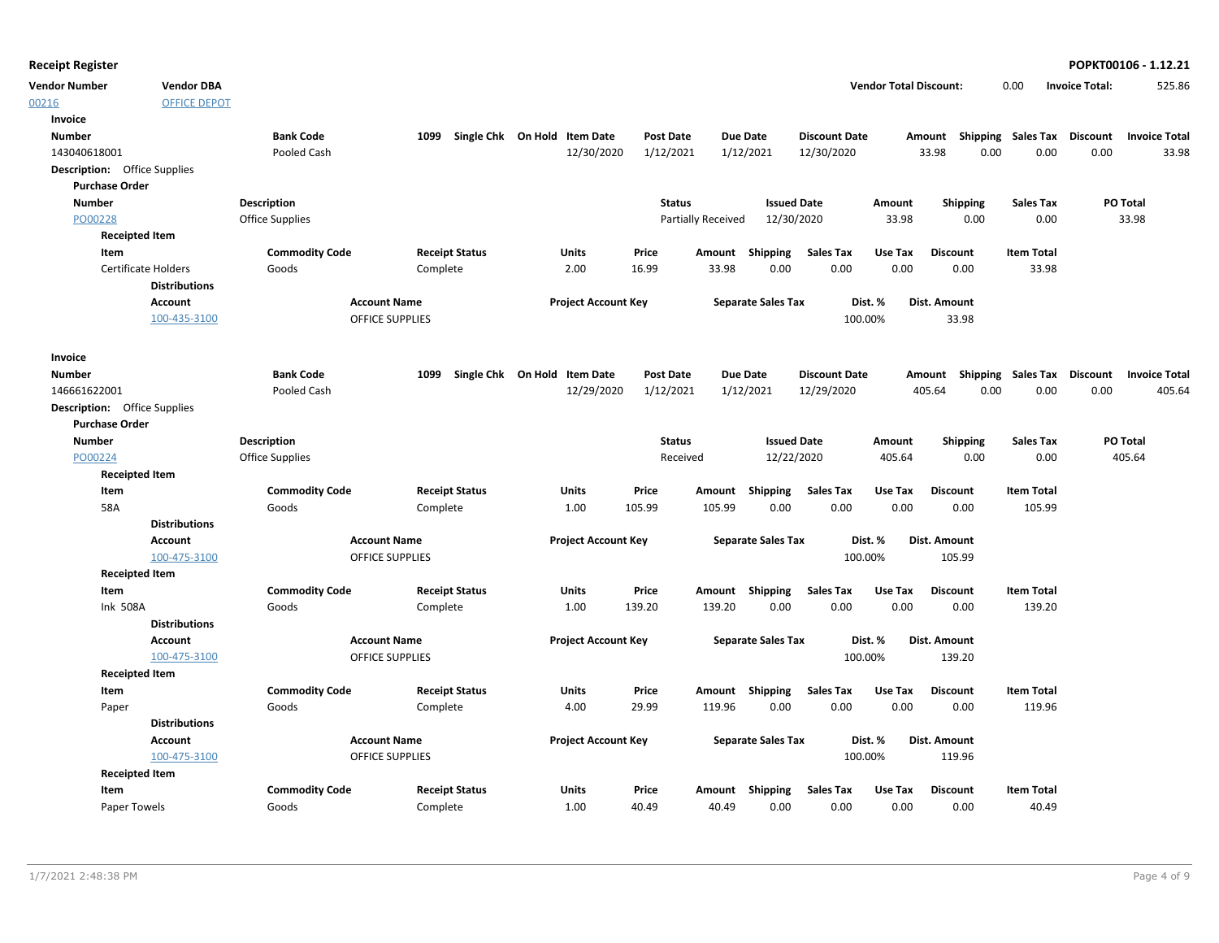**Vendor Number Vendor Total Discount:** 525.86 **Vendor DBA** 0.00 **Invoice Total:**

| Invoice<br><b>Bank Code</b><br>1099 Single Chk On Hold Item Date<br><b>Due Date</b><br><b>Number</b><br><b>Post Date</b><br><b>Discount Date</b><br>Amount Shipping Sales Tax<br>Discount<br>1/12/2021<br>1/12/2021<br>33.98<br>0.00<br>0.00<br>0.00<br>143040618001<br>Pooled Cash<br>12/30/2020<br>12/30/2020<br><b>Description:</b> Office Supplies<br><b>Purchase Order</b><br><b>Number</b><br>Description<br><b>Status</b><br><b>Issued Date</b><br>Amount<br><b>Shipping</b><br><b>Sales Tax</b><br>PO Total<br>PO00228<br>Office Supplies<br>12/30/2020<br>33.98<br>0.00<br>0.00<br>33.98<br><b>Partially Received</b><br><b>Receipted Item</b><br><b>Commodity Code</b><br><b>Sales Tax</b><br>Item<br><b>Receipt Status</b><br>Units<br>Price<br>Shipping<br>Use Tax<br><b>Discount</b><br><b>Item Total</b><br>Amount<br>0.00<br>0.00<br><b>Certificate Holders</b><br>Goods<br>Complete<br>2.00<br>16.99<br>33.98<br>0.00<br>0.00<br>33.98<br><b>Distributions</b><br>Dist. Amount<br>Account<br><b>Account Name</b><br><b>Project Account Key</b><br><b>Separate Sales Tax</b><br>Dist. %<br>100-435-3100<br><b>OFFICE SUPPLIES</b><br>100.00%<br>33.98<br>Invoice<br><b>Bank Code</b><br>Single Chk On Hold Item Date<br><b>Due Date</b><br>Amount Shipping Sales Tax Discount<br><b>Number</b><br>1099<br><b>Post Date</b><br><b>Discount Date</b><br><b>Invoice Total</b><br>146661622001<br>12/29/2020<br>1/12/2021<br>1/12/2021<br>12/29/2020<br>405.64<br>0.00<br>0.00<br>0.00<br>Pooled Cash<br>405.64<br><b>Description:</b> Office Supplies<br><b>Purchase Order</b><br><b>Number</b><br><b>Description</b><br><b>Status</b><br><b>Issued Date</b><br><b>Shipping</b><br>Sales Tax<br>PO Total<br>Amount<br>12/22/2020<br>0.00<br>405.64<br>PO00224<br>Office Supplies<br>Received<br>405.64<br>0.00<br><b>Receipted Item</b><br><b>Item Total</b><br>Item<br><b>Commodity Code</b><br><b>Receipt Status</b><br>Units<br>Price<br>Amount Shipping<br>Sales Tax<br>Use Tax<br><b>Discount</b><br>58A<br>105.99<br>105.99<br>0.00<br>0.00<br>0.00<br>0.00<br>105.99<br>Goods<br>Complete<br>1.00<br><b>Distributions</b><br><b>Account Name</b><br><b>Project Account Key</b><br><b>Separate Sales Tax</b><br>Dist. Amount<br>Account<br>Dist. %<br>100.00%<br>100-475-3100<br><b>OFFICE SUPPLIES</b><br>105.99<br><b>Receipted Item</b><br><b>Commodity Code</b><br><b>Receipt Status</b><br>Amount Shipping<br><b>Sales Tax</b><br>Use Tax<br><b>Item Total</b><br>Item<br>Units<br>Price<br><b>Discount</b><br>0.00<br>0.00<br>0.00<br><b>Ink 508A</b><br>Goods<br>1.00<br>139.20<br>139.20<br>0.00<br>139.20<br>Complete<br><b>Distributions</b><br>Account<br><b>Account Name</b><br><b>Project Account Key</b><br><b>Separate Sales Tax</b><br>Dist. %<br>Dist. Amount<br>100-475-3100<br><b>OFFICE SUPPLIES</b><br>100.00%<br>139.20<br><b>Receipted Item</b><br><b>Commodity Code</b><br>Item<br><b>Receipt Status</b><br>Units<br>Price<br>Amount Shipping<br><b>Sales Tax</b><br>Use Tax<br><b>Discount</b><br><b>Item Total</b><br>4.00<br>29.99<br>119.96<br>0.00<br>0.00<br>0.00<br>0.00<br>119.96<br>Goods<br>Complete<br>Paper<br><b>Distributions</b><br>Account<br><b>Account Name</b><br><b>Project Account Key</b><br><b>Separate Sales Tax</b><br>Dist. %<br>Dist. Amount<br>100-475-3100<br>100.00%<br><b>OFFICE SUPPLIES</b><br>119.96<br><b>Receipted Item</b><br><b>Commodity Code</b><br><b>Receipt Status</b><br><b>Item Total</b><br>Item<br>Units<br>Price<br>Amount<br>Shipping<br>Sales Tax<br>Use Tax<br><b>Discount</b> | 00216 | <b>OFFICE DEPOT</b> |  |  |  |  |  |                      |
|-----------------------------------------------------------------------------------------------------------------------------------------------------------------------------------------------------------------------------------------------------------------------------------------------------------------------------------------------------------------------------------------------------------------------------------------------------------------------------------------------------------------------------------------------------------------------------------------------------------------------------------------------------------------------------------------------------------------------------------------------------------------------------------------------------------------------------------------------------------------------------------------------------------------------------------------------------------------------------------------------------------------------------------------------------------------------------------------------------------------------------------------------------------------------------------------------------------------------------------------------------------------------------------------------------------------------------------------------------------------------------------------------------------------------------------------------------------------------------------------------------------------------------------------------------------------------------------------------------------------------------------------------------------------------------------------------------------------------------------------------------------------------------------------------------------------------------------------------------------------------------------------------------------------------------------------------------------------------------------------------------------------------------------------------------------------------------------------------------------------------------------------------------------------------------------------------------------------------------------------------------------------------------------------------------------------------------------------------------------------------------------------------------------------------------------------------------------------------------------------------------------------------------------------------------------------------------------------------------------------------------------------------------------------------------------------------------------------------------------------------------------------------------------------------------------------------------------------------------------------------------------------------------------------------------------------------------------------------------------------------------------------------------------------------------------------------------------------------------------------------------------------------------------------------------------------------------------------------------------------------------------------------------------------------------------------------------------------------------------------------------------------------------------------------------------------------------------------------------------------------------------------------------------------------------------------------------|-------|---------------------|--|--|--|--|--|----------------------|
|                                                                                                                                                                                                                                                                                                                                                                                                                                                                                                                                                                                                                                                                                                                                                                                                                                                                                                                                                                                                                                                                                                                                                                                                                                                                                                                                                                                                                                                                                                                                                                                                                                                                                                                                                                                                                                                                                                                                                                                                                                                                                                                                                                                                                                                                                                                                                                                                                                                                                                                                                                                                                                                                                                                                                                                                                                                                                                                                                                                                                                                                                                                                                                                                                                                                                                                                                                                                                                                                                                                                                                             |       |                     |  |  |  |  |  |                      |
|                                                                                                                                                                                                                                                                                                                                                                                                                                                                                                                                                                                                                                                                                                                                                                                                                                                                                                                                                                                                                                                                                                                                                                                                                                                                                                                                                                                                                                                                                                                                                                                                                                                                                                                                                                                                                                                                                                                                                                                                                                                                                                                                                                                                                                                                                                                                                                                                                                                                                                                                                                                                                                                                                                                                                                                                                                                                                                                                                                                                                                                                                                                                                                                                                                                                                                                                                                                                                                                                                                                                                                             |       |                     |  |  |  |  |  | <b>Invoice Total</b> |
|                                                                                                                                                                                                                                                                                                                                                                                                                                                                                                                                                                                                                                                                                                                                                                                                                                                                                                                                                                                                                                                                                                                                                                                                                                                                                                                                                                                                                                                                                                                                                                                                                                                                                                                                                                                                                                                                                                                                                                                                                                                                                                                                                                                                                                                                                                                                                                                                                                                                                                                                                                                                                                                                                                                                                                                                                                                                                                                                                                                                                                                                                                                                                                                                                                                                                                                                                                                                                                                                                                                                                                             |       |                     |  |  |  |  |  | 33.98                |
|                                                                                                                                                                                                                                                                                                                                                                                                                                                                                                                                                                                                                                                                                                                                                                                                                                                                                                                                                                                                                                                                                                                                                                                                                                                                                                                                                                                                                                                                                                                                                                                                                                                                                                                                                                                                                                                                                                                                                                                                                                                                                                                                                                                                                                                                                                                                                                                                                                                                                                                                                                                                                                                                                                                                                                                                                                                                                                                                                                                                                                                                                                                                                                                                                                                                                                                                                                                                                                                                                                                                                                             |       |                     |  |  |  |  |  |                      |
|                                                                                                                                                                                                                                                                                                                                                                                                                                                                                                                                                                                                                                                                                                                                                                                                                                                                                                                                                                                                                                                                                                                                                                                                                                                                                                                                                                                                                                                                                                                                                                                                                                                                                                                                                                                                                                                                                                                                                                                                                                                                                                                                                                                                                                                                                                                                                                                                                                                                                                                                                                                                                                                                                                                                                                                                                                                                                                                                                                                                                                                                                                                                                                                                                                                                                                                                                                                                                                                                                                                                                                             |       |                     |  |  |  |  |  |                      |
|                                                                                                                                                                                                                                                                                                                                                                                                                                                                                                                                                                                                                                                                                                                                                                                                                                                                                                                                                                                                                                                                                                                                                                                                                                                                                                                                                                                                                                                                                                                                                                                                                                                                                                                                                                                                                                                                                                                                                                                                                                                                                                                                                                                                                                                                                                                                                                                                                                                                                                                                                                                                                                                                                                                                                                                                                                                                                                                                                                                                                                                                                                                                                                                                                                                                                                                                                                                                                                                                                                                                                                             |       |                     |  |  |  |  |  |                      |
|                                                                                                                                                                                                                                                                                                                                                                                                                                                                                                                                                                                                                                                                                                                                                                                                                                                                                                                                                                                                                                                                                                                                                                                                                                                                                                                                                                                                                                                                                                                                                                                                                                                                                                                                                                                                                                                                                                                                                                                                                                                                                                                                                                                                                                                                                                                                                                                                                                                                                                                                                                                                                                                                                                                                                                                                                                                                                                                                                                                                                                                                                                                                                                                                                                                                                                                                                                                                                                                                                                                                                                             |       |                     |  |  |  |  |  |                      |
|                                                                                                                                                                                                                                                                                                                                                                                                                                                                                                                                                                                                                                                                                                                                                                                                                                                                                                                                                                                                                                                                                                                                                                                                                                                                                                                                                                                                                                                                                                                                                                                                                                                                                                                                                                                                                                                                                                                                                                                                                                                                                                                                                                                                                                                                                                                                                                                                                                                                                                                                                                                                                                                                                                                                                                                                                                                                                                                                                                                                                                                                                                                                                                                                                                                                                                                                                                                                                                                                                                                                                                             |       |                     |  |  |  |  |  |                      |
|                                                                                                                                                                                                                                                                                                                                                                                                                                                                                                                                                                                                                                                                                                                                                                                                                                                                                                                                                                                                                                                                                                                                                                                                                                                                                                                                                                                                                                                                                                                                                                                                                                                                                                                                                                                                                                                                                                                                                                                                                                                                                                                                                                                                                                                                                                                                                                                                                                                                                                                                                                                                                                                                                                                                                                                                                                                                                                                                                                                                                                                                                                                                                                                                                                                                                                                                                                                                                                                                                                                                                                             |       |                     |  |  |  |  |  |                      |
|                                                                                                                                                                                                                                                                                                                                                                                                                                                                                                                                                                                                                                                                                                                                                                                                                                                                                                                                                                                                                                                                                                                                                                                                                                                                                                                                                                                                                                                                                                                                                                                                                                                                                                                                                                                                                                                                                                                                                                                                                                                                                                                                                                                                                                                                                                                                                                                                                                                                                                                                                                                                                                                                                                                                                                                                                                                                                                                                                                                                                                                                                                                                                                                                                                                                                                                                                                                                                                                                                                                                                                             |       |                     |  |  |  |  |  |                      |
|                                                                                                                                                                                                                                                                                                                                                                                                                                                                                                                                                                                                                                                                                                                                                                                                                                                                                                                                                                                                                                                                                                                                                                                                                                                                                                                                                                                                                                                                                                                                                                                                                                                                                                                                                                                                                                                                                                                                                                                                                                                                                                                                                                                                                                                                                                                                                                                                                                                                                                                                                                                                                                                                                                                                                                                                                                                                                                                                                                                                                                                                                                                                                                                                                                                                                                                                                                                                                                                                                                                                                                             |       |                     |  |  |  |  |  |                      |
|                                                                                                                                                                                                                                                                                                                                                                                                                                                                                                                                                                                                                                                                                                                                                                                                                                                                                                                                                                                                                                                                                                                                                                                                                                                                                                                                                                                                                                                                                                                                                                                                                                                                                                                                                                                                                                                                                                                                                                                                                                                                                                                                                                                                                                                                                                                                                                                                                                                                                                                                                                                                                                                                                                                                                                                                                                                                                                                                                                                                                                                                                                                                                                                                                                                                                                                                                                                                                                                                                                                                                                             |       |                     |  |  |  |  |  |                      |
|                                                                                                                                                                                                                                                                                                                                                                                                                                                                                                                                                                                                                                                                                                                                                                                                                                                                                                                                                                                                                                                                                                                                                                                                                                                                                                                                                                                                                                                                                                                                                                                                                                                                                                                                                                                                                                                                                                                                                                                                                                                                                                                                                                                                                                                                                                                                                                                                                                                                                                                                                                                                                                                                                                                                                                                                                                                                                                                                                                                                                                                                                                                                                                                                                                                                                                                                                                                                                                                                                                                                                                             |       |                     |  |  |  |  |  |                      |
|                                                                                                                                                                                                                                                                                                                                                                                                                                                                                                                                                                                                                                                                                                                                                                                                                                                                                                                                                                                                                                                                                                                                                                                                                                                                                                                                                                                                                                                                                                                                                                                                                                                                                                                                                                                                                                                                                                                                                                                                                                                                                                                                                                                                                                                                                                                                                                                                                                                                                                                                                                                                                                                                                                                                                                                                                                                                                                                                                                                                                                                                                                                                                                                                                                                                                                                                                                                                                                                                                                                                                                             |       |                     |  |  |  |  |  |                      |
|                                                                                                                                                                                                                                                                                                                                                                                                                                                                                                                                                                                                                                                                                                                                                                                                                                                                                                                                                                                                                                                                                                                                                                                                                                                                                                                                                                                                                                                                                                                                                                                                                                                                                                                                                                                                                                                                                                                                                                                                                                                                                                                                                                                                                                                                                                                                                                                                                                                                                                                                                                                                                                                                                                                                                                                                                                                                                                                                                                                                                                                                                                                                                                                                                                                                                                                                                                                                                                                                                                                                                                             |       |                     |  |  |  |  |  |                      |
|                                                                                                                                                                                                                                                                                                                                                                                                                                                                                                                                                                                                                                                                                                                                                                                                                                                                                                                                                                                                                                                                                                                                                                                                                                                                                                                                                                                                                                                                                                                                                                                                                                                                                                                                                                                                                                                                                                                                                                                                                                                                                                                                                                                                                                                                                                                                                                                                                                                                                                                                                                                                                                                                                                                                                                                                                                                                                                                                                                                                                                                                                                                                                                                                                                                                                                                                                                                                                                                                                                                                                                             |       |                     |  |  |  |  |  |                      |
|                                                                                                                                                                                                                                                                                                                                                                                                                                                                                                                                                                                                                                                                                                                                                                                                                                                                                                                                                                                                                                                                                                                                                                                                                                                                                                                                                                                                                                                                                                                                                                                                                                                                                                                                                                                                                                                                                                                                                                                                                                                                                                                                                                                                                                                                                                                                                                                                                                                                                                                                                                                                                                                                                                                                                                                                                                                                                                                                                                                                                                                                                                                                                                                                                                                                                                                                                                                                                                                                                                                                                                             |       |                     |  |  |  |  |  |                      |
|                                                                                                                                                                                                                                                                                                                                                                                                                                                                                                                                                                                                                                                                                                                                                                                                                                                                                                                                                                                                                                                                                                                                                                                                                                                                                                                                                                                                                                                                                                                                                                                                                                                                                                                                                                                                                                                                                                                                                                                                                                                                                                                                                                                                                                                                                                                                                                                                                                                                                                                                                                                                                                                                                                                                                                                                                                                                                                                                                                                                                                                                                                                                                                                                                                                                                                                                                                                                                                                                                                                                                                             |       |                     |  |  |  |  |  |                      |
|                                                                                                                                                                                                                                                                                                                                                                                                                                                                                                                                                                                                                                                                                                                                                                                                                                                                                                                                                                                                                                                                                                                                                                                                                                                                                                                                                                                                                                                                                                                                                                                                                                                                                                                                                                                                                                                                                                                                                                                                                                                                                                                                                                                                                                                                                                                                                                                                                                                                                                                                                                                                                                                                                                                                                                                                                                                                                                                                                                                                                                                                                                                                                                                                                                                                                                                                                                                                                                                                                                                                                                             |       |                     |  |  |  |  |  |                      |
|                                                                                                                                                                                                                                                                                                                                                                                                                                                                                                                                                                                                                                                                                                                                                                                                                                                                                                                                                                                                                                                                                                                                                                                                                                                                                                                                                                                                                                                                                                                                                                                                                                                                                                                                                                                                                                                                                                                                                                                                                                                                                                                                                                                                                                                                                                                                                                                                                                                                                                                                                                                                                                                                                                                                                                                                                                                                                                                                                                                                                                                                                                                                                                                                                                                                                                                                                                                                                                                                                                                                                                             |       |                     |  |  |  |  |  |                      |
|                                                                                                                                                                                                                                                                                                                                                                                                                                                                                                                                                                                                                                                                                                                                                                                                                                                                                                                                                                                                                                                                                                                                                                                                                                                                                                                                                                                                                                                                                                                                                                                                                                                                                                                                                                                                                                                                                                                                                                                                                                                                                                                                                                                                                                                                                                                                                                                                                                                                                                                                                                                                                                                                                                                                                                                                                                                                                                                                                                                                                                                                                                                                                                                                                                                                                                                                                                                                                                                                                                                                                                             |       |                     |  |  |  |  |  |                      |
|                                                                                                                                                                                                                                                                                                                                                                                                                                                                                                                                                                                                                                                                                                                                                                                                                                                                                                                                                                                                                                                                                                                                                                                                                                                                                                                                                                                                                                                                                                                                                                                                                                                                                                                                                                                                                                                                                                                                                                                                                                                                                                                                                                                                                                                                                                                                                                                                                                                                                                                                                                                                                                                                                                                                                                                                                                                                                                                                                                                                                                                                                                                                                                                                                                                                                                                                                                                                                                                                                                                                                                             |       |                     |  |  |  |  |  |                      |
|                                                                                                                                                                                                                                                                                                                                                                                                                                                                                                                                                                                                                                                                                                                                                                                                                                                                                                                                                                                                                                                                                                                                                                                                                                                                                                                                                                                                                                                                                                                                                                                                                                                                                                                                                                                                                                                                                                                                                                                                                                                                                                                                                                                                                                                                                                                                                                                                                                                                                                                                                                                                                                                                                                                                                                                                                                                                                                                                                                                                                                                                                                                                                                                                                                                                                                                                                                                                                                                                                                                                                                             |       |                     |  |  |  |  |  |                      |
|                                                                                                                                                                                                                                                                                                                                                                                                                                                                                                                                                                                                                                                                                                                                                                                                                                                                                                                                                                                                                                                                                                                                                                                                                                                                                                                                                                                                                                                                                                                                                                                                                                                                                                                                                                                                                                                                                                                                                                                                                                                                                                                                                                                                                                                                                                                                                                                                                                                                                                                                                                                                                                                                                                                                                                                                                                                                                                                                                                                                                                                                                                                                                                                                                                                                                                                                                                                                                                                                                                                                                                             |       |                     |  |  |  |  |  |                      |
|                                                                                                                                                                                                                                                                                                                                                                                                                                                                                                                                                                                                                                                                                                                                                                                                                                                                                                                                                                                                                                                                                                                                                                                                                                                                                                                                                                                                                                                                                                                                                                                                                                                                                                                                                                                                                                                                                                                                                                                                                                                                                                                                                                                                                                                                                                                                                                                                                                                                                                                                                                                                                                                                                                                                                                                                                                                                                                                                                                                                                                                                                                                                                                                                                                                                                                                                                                                                                                                                                                                                                                             |       |                     |  |  |  |  |  |                      |
|                                                                                                                                                                                                                                                                                                                                                                                                                                                                                                                                                                                                                                                                                                                                                                                                                                                                                                                                                                                                                                                                                                                                                                                                                                                                                                                                                                                                                                                                                                                                                                                                                                                                                                                                                                                                                                                                                                                                                                                                                                                                                                                                                                                                                                                                                                                                                                                                                                                                                                                                                                                                                                                                                                                                                                                                                                                                                                                                                                                                                                                                                                                                                                                                                                                                                                                                                                                                                                                                                                                                                                             |       |                     |  |  |  |  |  |                      |
|                                                                                                                                                                                                                                                                                                                                                                                                                                                                                                                                                                                                                                                                                                                                                                                                                                                                                                                                                                                                                                                                                                                                                                                                                                                                                                                                                                                                                                                                                                                                                                                                                                                                                                                                                                                                                                                                                                                                                                                                                                                                                                                                                                                                                                                                                                                                                                                                                                                                                                                                                                                                                                                                                                                                                                                                                                                                                                                                                                                                                                                                                                                                                                                                                                                                                                                                                                                                                                                                                                                                                                             |       |                     |  |  |  |  |  |                      |
|                                                                                                                                                                                                                                                                                                                                                                                                                                                                                                                                                                                                                                                                                                                                                                                                                                                                                                                                                                                                                                                                                                                                                                                                                                                                                                                                                                                                                                                                                                                                                                                                                                                                                                                                                                                                                                                                                                                                                                                                                                                                                                                                                                                                                                                                                                                                                                                                                                                                                                                                                                                                                                                                                                                                                                                                                                                                                                                                                                                                                                                                                                                                                                                                                                                                                                                                                                                                                                                                                                                                                                             |       |                     |  |  |  |  |  |                      |
|                                                                                                                                                                                                                                                                                                                                                                                                                                                                                                                                                                                                                                                                                                                                                                                                                                                                                                                                                                                                                                                                                                                                                                                                                                                                                                                                                                                                                                                                                                                                                                                                                                                                                                                                                                                                                                                                                                                                                                                                                                                                                                                                                                                                                                                                                                                                                                                                                                                                                                                                                                                                                                                                                                                                                                                                                                                                                                                                                                                                                                                                                                                                                                                                                                                                                                                                                                                                                                                                                                                                                                             |       |                     |  |  |  |  |  |                      |
|                                                                                                                                                                                                                                                                                                                                                                                                                                                                                                                                                                                                                                                                                                                                                                                                                                                                                                                                                                                                                                                                                                                                                                                                                                                                                                                                                                                                                                                                                                                                                                                                                                                                                                                                                                                                                                                                                                                                                                                                                                                                                                                                                                                                                                                                                                                                                                                                                                                                                                                                                                                                                                                                                                                                                                                                                                                                                                                                                                                                                                                                                                                                                                                                                                                                                                                                                                                                                                                                                                                                                                             |       |                     |  |  |  |  |  |                      |
|                                                                                                                                                                                                                                                                                                                                                                                                                                                                                                                                                                                                                                                                                                                                                                                                                                                                                                                                                                                                                                                                                                                                                                                                                                                                                                                                                                                                                                                                                                                                                                                                                                                                                                                                                                                                                                                                                                                                                                                                                                                                                                                                                                                                                                                                                                                                                                                                                                                                                                                                                                                                                                                                                                                                                                                                                                                                                                                                                                                                                                                                                                                                                                                                                                                                                                                                                                                                                                                                                                                                                                             |       |                     |  |  |  |  |  |                      |
|                                                                                                                                                                                                                                                                                                                                                                                                                                                                                                                                                                                                                                                                                                                                                                                                                                                                                                                                                                                                                                                                                                                                                                                                                                                                                                                                                                                                                                                                                                                                                                                                                                                                                                                                                                                                                                                                                                                                                                                                                                                                                                                                                                                                                                                                                                                                                                                                                                                                                                                                                                                                                                                                                                                                                                                                                                                                                                                                                                                                                                                                                                                                                                                                                                                                                                                                                                                                                                                                                                                                                                             |       |                     |  |  |  |  |  |                      |
|                                                                                                                                                                                                                                                                                                                                                                                                                                                                                                                                                                                                                                                                                                                                                                                                                                                                                                                                                                                                                                                                                                                                                                                                                                                                                                                                                                                                                                                                                                                                                                                                                                                                                                                                                                                                                                                                                                                                                                                                                                                                                                                                                                                                                                                                                                                                                                                                                                                                                                                                                                                                                                                                                                                                                                                                                                                                                                                                                                                                                                                                                                                                                                                                                                                                                                                                                                                                                                                                                                                                                                             |       |                     |  |  |  |  |  |                      |
|                                                                                                                                                                                                                                                                                                                                                                                                                                                                                                                                                                                                                                                                                                                                                                                                                                                                                                                                                                                                                                                                                                                                                                                                                                                                                                                                                                                                                                                                                                                                                                                                                                                                                                                                                                                                                                                                                                                                                                                                                                                                                                                                                                                                                                                                                                                                                                                                                                                                                                                                                                                                                                                                                                                                                                                                                                                                                                                                                                                                                                                                                                                                                                                                                                                                                                                                                                                                                                                                                                                                                                             |       |                     |  |  |  |  |  |                      |
|                                                                                                                                                                                                                                                                                                                                                                                                                                                                                                                                                                                                                                                                                                                                                                                                                                                                                                                                                                                                                                                                                                                                                                                                                                                                                                                                                                                                                                                                                                                                                                                                                                                                                                                                                                                                                                                                                                                                                                                                                                                                                                                                                                                                                                                                                                                                                                                                                                                                                                                                                                                                                                                                                                                                                                                                                                                                                                                                                                                                                                                                                                                                                                                                                                                                                                                                                                                                                                                                                                                                                                             |       |                     |  |  |  |  |  |                      |
|                                                                                                                                                                                                                                                                                                                                                                                                                                                                                                                                                                                                                                                                                                                                                                                                                                                                                                                                                                                                                                                                                                                                                                                                                                                                                                                                                                                                                                                                                                                                                                                                                                                                                                                                                                                                                                                                                                                                                                                                                                                                                                                                                                                                                                                                                                                                                                                                                                                                                                                                                                                                                                                                                                                                                                                                                                                                                                                                                                                                                                                                                                                                                                                                                                                                                                                                                                                                                                                                                                                                                                             |       |                     |  |  |  |  |  |                      |
|                                                                                                                                                                                                                                                                                                                                                                                                                                                                                                                                                                                                                                                                                                                                                                                                                                                                                                                                                                                                                                                                                                                                                                                                                                                                                                                                                                                                                                                                                                                                                                                                                                                                                                                                                                                                                                                                                                                                                                                                                                                                                                                                                                                                                                                                                                                                                                                                                                                                                                                                                                                                                                                                                                                                                                                                                                                                                                                                                                                                                                                                                                                                                                                                                                                                                                                                                                                                                                                                                                                                                                             |       |                     |  |  |  |  |  |                      |
|                                                                                                                                                                                                                                                                                                                                                                                                                                                                                                                                                                                                                                                                                                                                                                                                                                                                                                                                                                                                                                                                                                                                                                                                                                                                                                                                                                                                                                                                                                                                                                                                                                                                                                                                                                                                                                                                                                                                                                                                                                                                                                                                                                                                                                                                                                                                                                                                                                                                                                                                                                                                                                                                                                                                                                                                                                                                                                                                                                                                                                                                                                                                                                                                                                                                                                                                                                                                                                                                                                                                                                             |       |                     |  |  |  |  |  |                      |
|                                                                                                                                                                                                                                                                                                                                                                                                                                                                                                                                                                                                                                                                                                                                                                                                                                                                                                                                                                                                                                                                                                                                                                                                                                                                                                                                                                                                                                                                                                                                                                                                                                                                                                                                                                                                                                                                                                                                                                                                                                                                                                                                                                                                                                                                                                                                                                                                                                                                                                                                                                                                                                                                                                                                                                                                                                                                                                                                                                                                                                                                                                                                                                                                                                                                                                                                                                                                                                                                                                                                                                             |       |                     |  |  |  |  |  |                      |
|                                                                                                                                                                                                                                                                                                                                                                                                                                                                                                                                                                                                                                                                                                                                                                                                                                                                                                                                                                                                                                                                                                                                                                                                                                                                                                                                                                                                                                                                                                                                                                                                                                                                                                                                                                                                                                                                                                                                                                                                                                                                                                                                                                                                                                                                                                                                                                                                                                                                                                                                                                                                                                                                                                                                                                                                                                                                                                                                                                                                                                                                                                                                                                                                                                                                                                                                                                                                                                                                                                                                                                             |       |                     |  |  |  |  |  |                      |
| 1.00<br>40.49<br>0.00<br>0.00<br>0.00<br>0.00<br>40.49<br>Paper Towels<br>Goods<br>Complete<br>40.49                                                                                                                                                                                                                                                                                                                                                                                                                                                                                                                                                                                                                                                                                                                                                                                                                                                                                                                                                                                                                                                                                                                                                                                                                                                                                                                                                                                                                                                                                                                                                                                                                                                                                                                                                                                                                                                                                                                                                                                                                                                                                                                                                                                                                                                                                                                                                                                                                                                                                                                                                                                                                                                                                                                                                                                                                                                                                                                                                                                                                                                                                                                                                                                                                                                                                                                                                                                                                                                                        |       |                     |  |  |  |  |  |                      |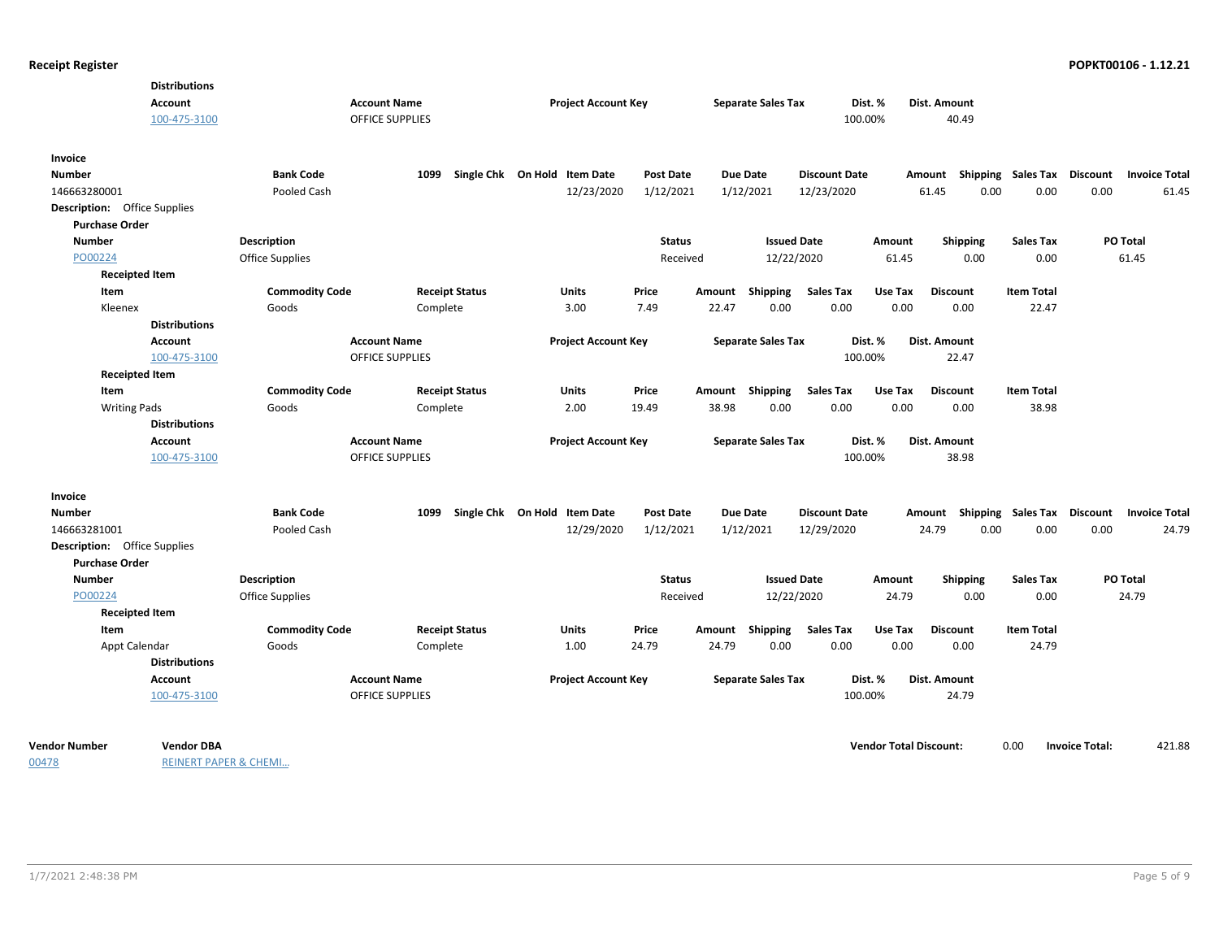| <b>Distributions</b><br>Account<br>100-475-3100              |                        | <b>Account Name</b><br>OFFICE SUPPLIES | <b>Project Account Key</b>   |                  |        | <b>Separate Sales Tax</b> | 100.00%              | Dist. % | Dist. Amount<br>40.49     |                   |                 |                      |
|--------------------------------------------------------------|------------------------|----------------------------------------|------------------------------|------------------|--------|---------------------------|----------------------|---------|---------------------------|-------------------|-----------------|----------------------|
| Invoice<br><b>Number</b>                                     | <b>Bank Code</b>       | 1099                                   | Single Chk On Hold Item Date | <b>Post Date</b> |        | <b>Due Date</b>           | <b>Discount Date</b> |         | Amount Shipping           | Sales Tax         | <b>Discount</b> | <b>Invoice Total</b> |
| 146663280001                                                 | Pooled Cash            |                                        | 12/23/2020                   | 1/12/2021        |        | 1/12/2021                 | 12/23/2020           |         | 61.45<br>0.00             | 0.00              | 0.00            | 61.45                |
| <b>Description:</b> Office Supplies                          |                        |                                        |                              |                  |        |                           |                      |         |                           |                   |                 |                      |
| <b>Purchase Order</b>                                        |                        |                                        |                              |                  |        |                           |                      |         |                           |                   |                 |                      |
| <b>Number</b>                                                | <b>Description</b>     |                                        |                              | <b>Status</b>    |        | <b>Issued Date</b>        |                      | Amount  | <b>Shipping</b>           | <b>Sales Tax</b>  | PO Total        |                      |
| PO00224                                                      | <b>Office Supplies</b> |                                        |                              | Received         |        | 12/22/2020                |                      | 61.45   | 0.00                      | 0.00              | 61.45           |                      |
| <b>Receipted Item</b>                                        |                        |                                        |                              |                  |        |                           |                      |         |                           |                   |                 |                      |
| Item                                                         | <b>Commodity Code</b>  | <b>Receipt Status</b>                  | Units                        | Price            | Amount | Shipping                  | <b>Sales Tax</b>     | Use Tax | <b>Discount</b>           | <b>Item Total</b> |                 |                      |
| Kleenex                                                      | Goods                  | Complete                               | 3.00                         | 7.49             | 22.47  | 0.00                      | 0.00                 | 0.00    | 0.00                      | 22.47             |                 |                      |
| <b>Distributions</b>                                         |                        |                                        |                              |                  |        |                           |                      |         |                           |                   |                 |                      |
| Account                                                      |                        | <b>Account Name</b>                    | <b>Project Account Key</b>   |                  |        | <b>Separate Sales Tax</b> |                      | Dist. % | Dist. Amount              |                   |                 |                      |
| 100-475-3100                                                 |                        | <b>OFFICE SUPPLIES</b>                 |                              |                  |        |                           | 100.00%              |         | 22.47                     |                   |                 |                      |
| <b>Receipted Item</b>                                        |                        |                                        |                              |                  |        |                           |                      |         |                           |                   |                 |                      |
| Item                                                         | <b>Commodity Code</b>  | <b>Receipt Status</b>                  | Units                        | Price            | Amount | Shipping                  | <b>Sales Tax</b>     | Use Tax | <b>Discount</b>           | <b>Item Total</b> |                 |                      |
| <b>Writing Pads</b>                                          | Goods                  | Complete                               | 2.00                         | 19.49            | 38.98  | 0.00                      | 0.00                 | 0.00    | 0.00                      | 38.98             |                 |                      |
| <b>Distributions</b>                                         |                        |                                        |                              |                  |        |                           |                      |         |                           |                   |                 |                      |
| Account                                                      |                        | <b>Account Name</b>                    | <b>Project Account Key</b>   |                  |        | <b>Separate Sales Tax</b> |                      | Dist. % | Dist. Amount              |                   |                 |                      |
| 100-475-3100                                                 |                        | <b>OFFICE SUPPLIES</b>                 |                              |                  |        |                           | 100.00%              |         | 38.98                     |                   |                 |                      |
| Invoice                                                      |                        |                                        |                              |                  |        |                           |                      |         |                           |                   |                 |                      |
| <b>Number</b>                                                | <b>Bank Code</b>       | 1099                                   | Single Chk On Hold Item Date | <b>Post Date</b> |        | <b>Due Date</b>           | <b>Discount Date</b> |         | Amount Shipping Sales Tax |                   | Discount        | <b>Invoice Total</b> |
| 146663281001                                                 | Pooled Cash            |                                        | 12/29/2020                   | 1/12/2021        |        | 1/12/2021                 | 12/29/2020           |         | 24.79<br>0.00             | 0.00              | 0.00            | 24.79                |
| <b>Description:</b> Office Supplies<br><b>Purchase Order</b> |                        |                                        |                              |                  |        |                           |                      |         |                           |                   |                 |                      |
| <b>Number</b>                                                | <b>Description</b>     |                                        |                              | <b>Status</b>    |        | <b>Issued Date</b>        |                      | Amount  | Shipping                  | <b>Sales Tax</b>  | <b>PO Total</b> |                      |
| PO00224                                                      | <b>Office Supplies</b> |                                        |                              | Received         |        | 12/22/2020                |                      | 24.79   | 0.00                      | 0.00              | 24.79           |                      |
| <b>Receipted Item</b>                                        |                        |                                        |                              |                  |        |                           |                      |         |                           |                   |                 |                      |
| Item                                                         | <b>Commodity Code</b>  | <b>Receipt Status</b>                  | Units                        | Price            | Amount | Shipping                  | <b>Sales Tax</b>     | Use Tax | <b>Discount</b>           | <b>Item Total</b> |                 |                      |
| Appt Calendar                                                | Goods                  | Complete                               | 1.00                         | 24.79            | 24.79  | 0.00                      | 0.00                 | 0.00    | 0.00                      | 24.79             |                 |                      |
| <b>Distributions</b>                                         |                        |                                        |                              |                  |        |                           |                      |         |                           |                   |                 |                      |
| <b>Account</b>                                               |                        | <b>Account Name</b>                    | <b>Project Account Key</b>   |                  |        | <b>Separate Sales Tax</b> |                      | Dist. % | Dist. Amount              |                   |                 |                      |
| 100-475-3100                                                 |                        | <b>OFFICE SUPPLIES</b>                 |                              |                  |        |                           | 100.00%              |         | 24.79                     |                   |                 |                      |
|                                                              |                        |                                        |                              |                  |        |                           |                      |         |                           |                   |                 |                      |

00478

REINERT PAPER & CHEMI…

**Vendor Number Vendor Total Discount:** 421.88 **Vendor DBA** 0.00 **Invoice Total:**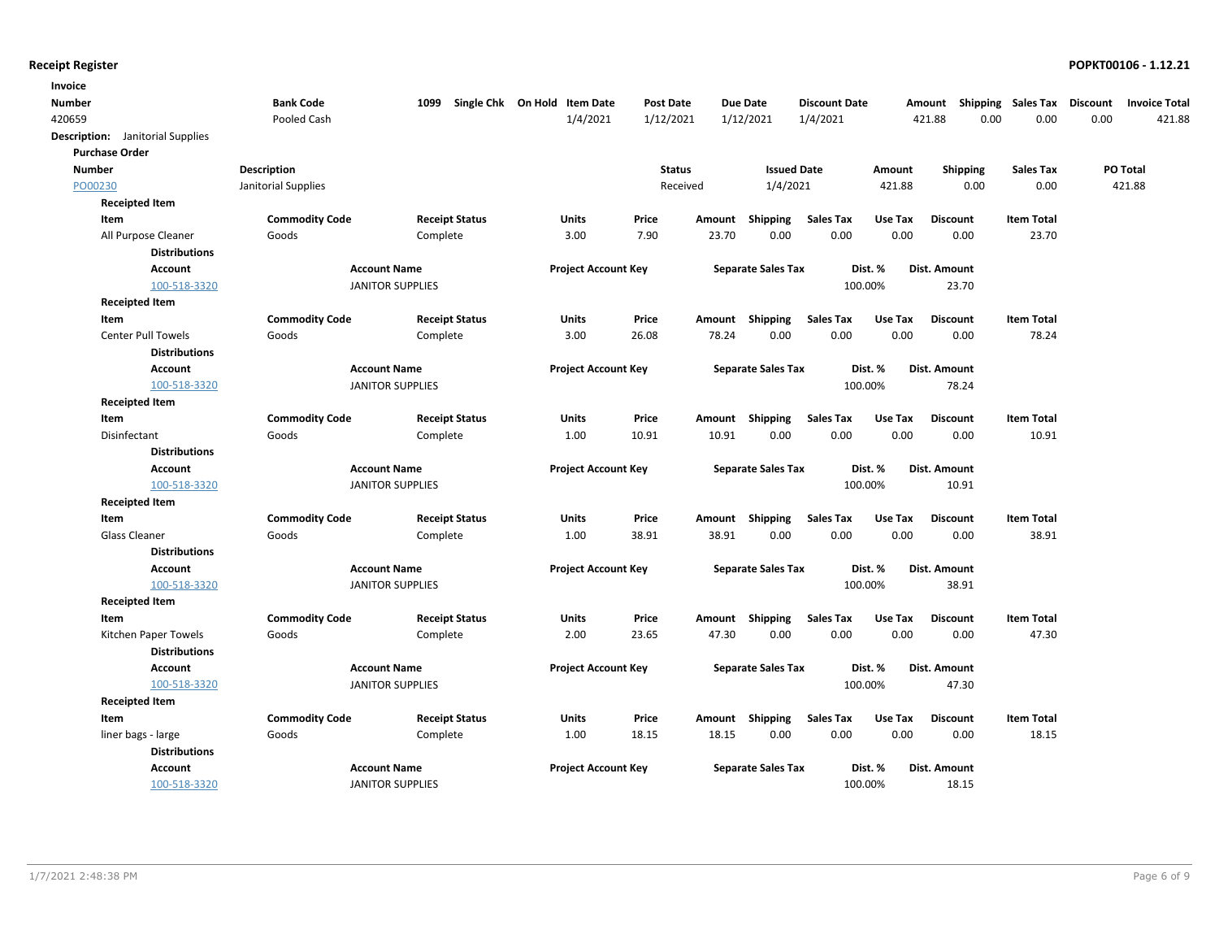| Invoice                                     |                       |                         |                              |               |        |                           |                      |         |                 |                    |          |                      |
|---------------------------------------------|-----------------------|-------------------------|------------------------------|---------------|--------|---------------------------|----------------------|---------|-----------------|--------------------|----------|----------------------|
| Number                                      | <b>Bank Code</b>      | 1099                    | Single Chk On Hold Item Date | Post Date     |        | Due Date                  | <b>Discount Date</b> |         | Amount          | Shipping Sales Tax | Discount | <b>Invoice Total</b> |
| 420659                                      | Pooled Cash           |                         | 1/4/2021                     | 1/12/2021     |        | 1/12/2021                 | 1/4/2021             |         | 421.88          | 0.00<br>0.00       | 0.00     | 421.88               |
| Description: Janitorial Supplies            |                       |                         |                              |               |        |                           |                      |         |                 |                    |          |                      |
| <b>Purchase Order</b>                       |                       |                         |                              |               |        |                           |                      |         |                 |                    |          |                      |
| <b>Number</b>                               | <b>Description</b>    |                         |                              | <b>Status</b> |        | <b>Issued Date</b>        |                      | Amount  | <b>Shipping</b> | <b>Sales Tax</b>   | PO Total |                      |
| PO00230                                     | Janitorial Supplies   |                         |                              | Received      |        | 1/4/2021                  |                      | 421.88  | 0.00            | 0.00               | 421.88   |                      |
| <b>Receipted Item</b>                       |                       |                         |                              |               |        |                           |                      |         |                 |                    |          |                      |
| Item                                        | <b>Commodity Code</b> | <b>Receipt Status</b>   | <b>Units</b>                 | Price         | Amount | Shipping                  | <b>Sales Tax</b>     | Use Tax | <b>Discount</b> | <b>Item Total</b>  |          |                      |
| All Purpose Cleaner<br><b>Distributions</b> | Goods                 | Complete                | 3.00                         | 7.90          | 23.70  | 0.00                      | 0.00                 | 0.00    | 0.00            | 23.70              |          |                      |
| <b>Account</b>                              |                       | <b>Account Name</b>     | <b>Project Account Key</b>   |               |        | <b>Separate Sales Tax</b> |                      | Dist. % | Dist. Amount    |                    |          |                      |
| 100-518-3320                                |                       | <b>JANITOR SUPPLIES</b> |                              |               |        |                           | 100.00%              |         | 23.70           |                    |          |                      |
| <b>Receipted Item</b>                       |                       |                         |                              |               |        |                           |                      |         |                 |                    |          |                      |
| Item                                        | <b>Commodity Code</b> | <b>Receipt Status</b>   | Units                        | Price         | Amount | Shipping                  | <b>Sales Tax</b>     | Use Tax | <b>Discount</b> | <b>Item Total</b>  |          |                      |
| <b>Center Pull Towels</b>                   | Goods                 | Complete                | 3.00                         | 26.08         | 78.24  | 0.00                      | 0.00                 | 0.00    | 0.00            | 78.24              |          |                      |
| <b>Distributions</b>                        |                       |                         |                              |               |        |                           |                      |         |                 |                    |          |                      |
| <b>Account</b>                              |                       | <b>Account Name</b>     | <b>Project Account Key</b>   |               |        | <b>Separate Sales Tax</b> |                      | Dist. % | Dist. Amount    |                    |          |                      |
| 100-518-3320                                |                       | <b>JANITOR SUPPLIES</b> |                              |               |        |                           | 100.00%              |         | 78.24           |                    |          |                      |
| <b>Receipted Item</b>                       |                       |                         |                              |               |        |                           |                      |         |                 |                    |          |                      |
| Item                                        | <b>Commodity Code</b> | <b>Receipt Status</b>   | Units                        | Price         |        | Amount Shipping           | <b>Sales Tax</b>     | Use Tax | <b>Discount</b> | <b>Item Total</b>  |          |                      |
| Disinfectant                                | Goods                 | Complete                | 1.00                         | 10.91         | 10.91  | 0.00                      | 0.00                 | 0.00    | 0.00            | 10.91              |          |                      |
| <b>Distributions</b>                        |                       |                         |                              |               |        |                           |                      |         |                 |                    |          |                      |
| <b>Account</b>                              |                       | <b>Account Name</b>     | <b>Project Account Key</b>   |               |        | <b>Separate Sales Tax</b> |                      | Dist. % | Dist. Amount    |                    |          |                      |
| 100-518-3320                                |                       | <b>JANITOR SUPPLIES</b> |                              |               |        |                           | 100.00%              |         | 10.91           |                    |          |                      |
| <b>Receipted Item</b>                       |                       |                         |                              |               |        |                           |                      |         |                 |                    |          |                      |
| Item                                        | <b>Commodity Code</b> | <b>Receipt Status</b>   | <b>Units</b>                 | Price         |        | Amount Shipping           | <b>Sales Tax</b>     | Use Tax | <b>Discount</b> | <b>Item Total</b>  |          |                      |
| <b>Glass Cleaner</b>                        | Goods                 | Complete                | 1.00                         | 38.91         | 38.91  | 0.00                      | 0.00                 | 0.00    | 0.00            | 38.91              |          |                      |
| <b>Distributions</b>                        |                       |                         |                              |               |        |                           |                      |         |                 |                    |          |                      |
| <b>Account</b>                              |                       | <b>Account Name</b>     | <b>Project Account Key</b>   |               |        | <b>Separate Sales Tax</b> |                      | Dist. % | Dist. Amount    |                    |          |                      |
| 100-518-3320                                |                       | <b>JANITOR SUPPLIES</b> |                              |               |        |                           | 100.00%              |         | 38.91           |                    |          |                      |
| <b>Receipted Item</b>                       |                       |                         |                              |               |        |                           |                      |         |                 |                    |          |                      |
| Item                                        | <b>Commodity Code</b> | <b>Receipt Status</b>   | <b>Units</b>                 | Price         | Amount | Shipping                  | <b>Sales Tax</b>     | Use Tax | <b>Discount</b> | <b>Item Total</b>  |          |                      |
| Kitchen Paper Towels                        | Goods                 | Complete                | 2.00                         | 23.65         | 47.30  | 0.00                      | 0.00                 | 0.00    | 0.00            | 47.30              |          |                      |
| <b>Distributions</b>                        |                       |                         |                              |               |        |                           |                      |         |                 |                    |          |                      |
| <b>Account</b>                              |                       | <b>Account Name</b>     | <b>Project Account Key</b>   |               |        | <b>Separate Sales Tax</b> |                      | Dist. % | Dist. Amount    |                    |          |                      |
| 100-518-3320                                |                       | <b>JANITOR SUPPLIES</b> |                              |               |        |                           | 100.00%              |         | 47.30           |                    |          |                      |
| <b>Receipted Item</b>                       |                       |                         |                              |               |        |                           |                      |         |                 |                    |          |                      |
| Item                                        | <b>Commodity Code</b> | <b>Receipt Status</b>   | <b>Units</b>                 | Price         | Amount | Shipping                  | <b>Sales Tax</b>     | Use Tax | <b>Discount</b> | <b>Item Total</b>  |          |                      |
| liner bags - large                          | Goods                 | Complete                | 1.00                         | 18.15         | 18.15  | 0.00                      | 0.00                 | 0.00    | 0.00            | 18.15              |          |                      |
| <b>Distributions</b>                        |                       |                         |                              |               |        |                           |                      |         |                 |                    |          |                      |
| <b>Account</b>                              |                       | <b>Account Name</b>     | <b>Project Account Key</b>   |               |        | <b>Separate Sales Tax</b> |                      | Dist. % | Dist. Amount    |                    |          |                      |
| 100-518-3320                                |                       | <b>JANITOR SUPPLIES</b> |                              |               |        |                           |                      | 100.00% | 18.15           |                    |          |                      |
|                                             |                       |                         |                              |               |        |                           |                      |         |                 |                    |          |                      |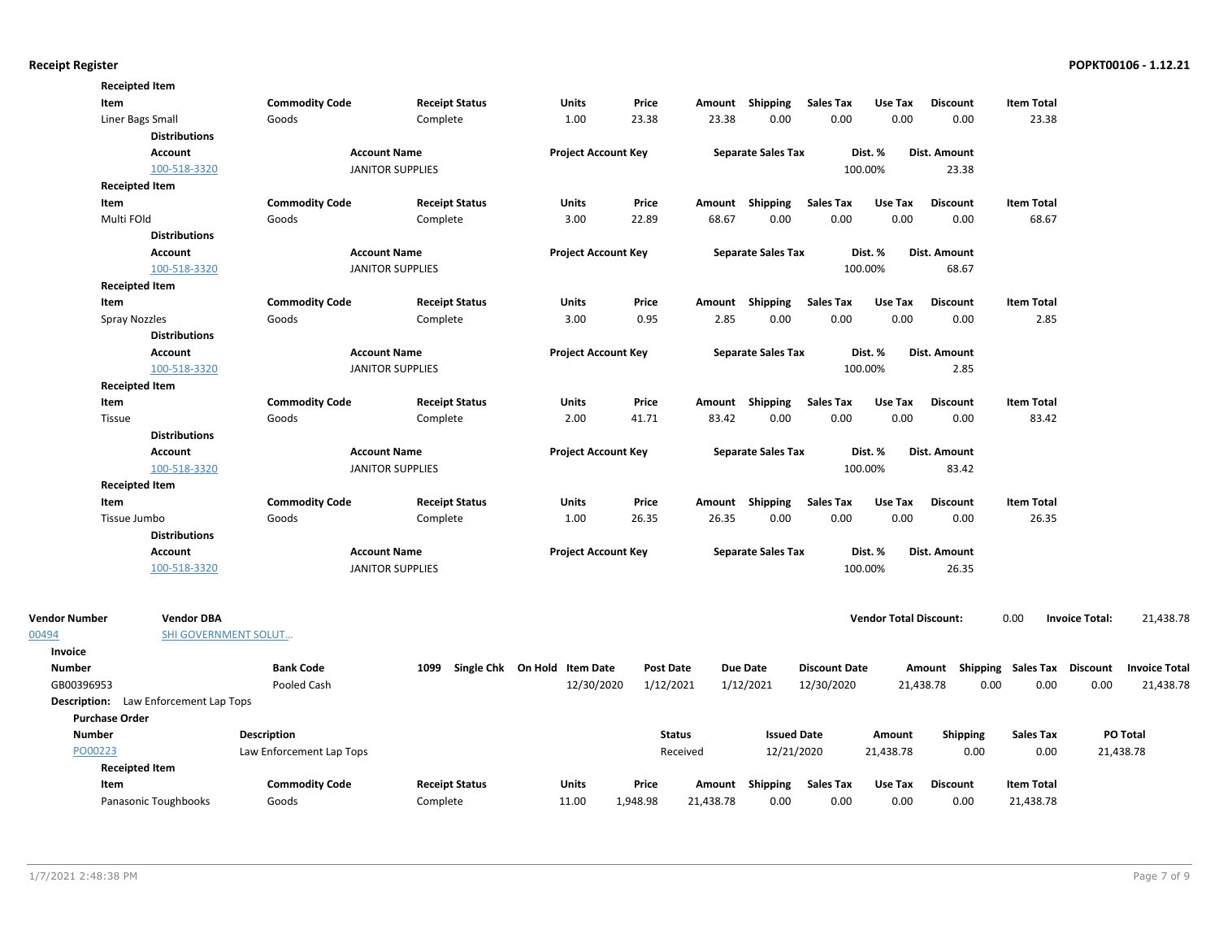|                       | <b>Receipted Item</b>                        |                          |                         |                              |                  |           |                           |                      |                               |                 |                                    |                       |                      |
|-----------------------|----------------------------------------------|--------------------------|-------------------------|------------------------------|------------------|-----------|---------------------------|----------------------|-------------------------------|-----------------|------------------------------------|-----------------------|----------------------|
| Item                  |                                              | <b>Commodity Code</b>    | <b>Receipt Status</b>   | Units                        | Price            |           | Amount Shipping           | Sales Tax            | Use Tax                       | <b>Discount</b> | <b>Item Total</b>                  |                       |                      |
|                       | Liner Bags Small                             | Goods                    | Complete                | 1.00                         | 23.38            | 23.38     | 0.00                      | 0.00                 | 0.00                          | 0.00            | 23.38                              |                       |                      |
|                       | <b>Distributions</b>                         |                          |                         |                              |                  |           |                           |                      |                               |                 |                                    |                       |                      |
|                       | <b>Account</b>                               |                          | <b>Account Name</b>     | <b>Project Account Key</b>   |                  |           | <b>Separate Sales Tax</b> |                      | Dist. %                       | Dist. Amount    |                                    |                       |                      |
|                       | 100-518-3320                                 |                          | <b>JANITOR SUPPLIES</b> |                              |                  |           |                           |                      | 100.00%                       | 23.38           |                                    |                       |                      |
|                       | <b>Receipted Item</b>                        |                          |                         |                              |                  |           |                           |                      |                               |                 |                                    |                       |                      |
| Item                  |                                              | <b>Commodity Code</b>    | <b>Receipt Status</b>   | Units                        | Price            |           | Amount Shipping           | <b>Sales Tax</b>     | Use Tax                       | <b>Discount</b> | <b>Item Total</b>                  |                       |                      |
|                       | Multi FOld                                   | Goods                    | Complete                | 3.00                         | 22.89            | 68.67     | 0.00                      | 0.00                 | 0.00                          | 0.00            | 68.67                              |                       |                      |
|                       | <b>Distributions</b>                         |                          |                         |                              |                  |           |                           |                      |                               |                 |                                    |                       |                      |
|                       | <b>Account</b>                               |                          | <b>Account Name</b>     | <b>Project Account Key</b>   |                  |           | <b>Separate Sales Tax</b> |                      | Dist. %                       | Dist. Amount    |                                    |                       |                      |
|                       | 100-518-3320                                 |                          | <b>JANITOR SUPPLIES</b> |                              |                  |           |                           |                      | 100.00%                       | 68.67           |                                    |                       |                      |
|                       | <b>Receipted Item</b>                        |                          |                         |                              |                  |           |                           |                      |                               |                 |                                    |                       |                      |
| Item                  |                                              | <b>Commodity Code</b>    | <b>Receipt Status</b>   | Units                        | Price            |           | Amount Shipping           | Sales Tax            | Use Tax                       | <b>Discount</b> | <b>Item Total</b>                  |                       |                      |
|                       | Spray Nozzles                                | Goods                    | Complete                | 3.00                         | 0.95             | 2.85      | 0.00                      | 0.00                 | 0.00                          | 0.00            | 2.85                               |                       |                      |
|                       | <b>Distributions</b>                         |                          |                         |                              |                  |           |                           |                      |                               |                 |                                    |                       |                      |
|                       | <b>Account</b>                               |                          | <b>Account Name</b>     | <b>Project Account Key</b>   |                  |           | <b>Separate Sales Tax</b> |                      | Dist. %                       | Dist. Amount    |                                    |                       |                      |
|                       | 100-518-3320                                 |                          | <b>JANITOR SUPPLIES</b> |                              |                  |           |                           |                      | 100.00%                       | 2.85            |                                    |                       |                      |
|                       | <b>Receipted Item</b>                        |                          |                         |                              |                  |           |                           |                      |                               |                 |                                    |                       |                      |
| Item                  |                                              | <b>Commodity Code</b>    | <b>Receipt Status</b>   | Units                        | Price            |           | Amount Shipping           | Sales Tax            | Use Tax                       | <b>Discount</b> | <b>Item Total</b>                  |                       |                      |
|                       | Tissue                                       | Goods                    | Complete                | 2.00                         | 41.71            | 83.42     | 0.00                      | 0.00                 | 0.00                          | 0.00            | 83.42                              |                       |                      |
|                       | <b>Distributions</b>                         |                          |                         |                              |                  |           |                           |                      |                               |                 |                                    |                       |                      |
|                       | Account                                      |                          | <b>Account Name</b>     | <b>Project Account Key</b>   |                  |           | <b>Separate Sales Tax</b> |                      | Dist. %                       | Dist. Amount    |                                    |                       |                      |
|                       | 100-518-3320                                 |                          | <b>JANITOR SUPPLIES</b> |                              |                  |           |                           |                      | 100.00%                       | 83.42           |                                    |                       |                      |
|                       | <b>Receipted Item</b>                        |                          |                         |                              |                  |           |                           |                      |                               |                 |                                    |                       |                      |
| Item                  |                                              | <b>Commodity Code</b>    | <b>Receipt Status</b>   | Units                        | Price            |           | Amount Shipping           | <b>Sales Tax</b>     | Use Tax                       | <b>Discount</b> | <b>Item Total</b>                  |                       |                      |
|                       | Tissue Jumbo                                 | Goods                    | Complete                | 1.00                         | 26.35            | 26.35     | 0.00                      | 0.00                 | 0.00                          | 0.00            | 26.35                              |                       |                      |
|                       | <b>Distributions</b>                         |                          |                         |                              |                  |           |                           |                      |                               |                 |                                    |                       |                      |
|                       | <b>Account</b>                               |                          | <b>Account Name</b>     | <b>Project Account Key</b>   |                  |           | <b>Separate Sales Tax</b> |                      | Dist. %                       | Dist. Amount    |                                    |                       |                      |
|                       | 100-518-3320                                 |                          | <b>JANITOR SUPPLIES</b> |                              |                  |           |                           |                      | 100.00%                       | 26.35           |                                    |                       |                      |
| Vendor Number         | <b>Vendor DBA</b>                            |                          |                         |                              |                  |           |                           |                      | <b>Vendor Total Discount:</b> |                 | 0.00                               | <b>Invoice Total:</b> | 21,438.78            |
| 00494                 | SHI GOVERNMENT SOLUT                         |                          |                         |                              |                  |           |                           |                      |                               |                 |                                    |                       |                      |
| Invoice               |                                              |                          |                         |                              |                  |           |                           |                      |                               |                 |                                    |                       |                      |
| <b>Number</b>         |                                              | <b>Bank Code</b>         | 1099                    | Single Chk On Hold Item Date | <b>Post Date</b> |           | <b>Due Date</b>           | <b>Discount Date</b> |                               |                 | Amount Shipping Sales Tax Discount |                       | <b>Invoice Total</b> |
| GB00396953            |                                              | Pooled Cash              |                         | 12/30/2020                   | 1/12/2021        |           | 1/12/2021                 | 12/30/2020           |                               | 21,438.78       | 0.00<br>0.00                       | 0.00                  | 21,438.78            |
|                       | <b>Description:</b> Law Enforcement Lap Tops |                          |                         |                              |                  |           |                           |                      |                               |                 |                                    |                       |                      |
| <b>Purchase Order</b> |                                              |                          |                         |                              |                  |           |                           |                      |                               |                 |                                    |                       |                      |
| <b>Number</b>         |                                              | <b>Description</b>       |                         |                              | <b>Status</b>    |           | <b>Issued Date</b>        |                      | Amount                        | <b>Shipping</b> | <b>Sales Tax</b>                   | PO Total              |                      |
| PO00223               |                                              | Law Enforcement Lap Tops |                         |                              | Received         |           | 12/21/2020                |                      | 21,438.78                     | 0.00            | 0.00                               | 21,438.78             |                      |
|                       | <b>Receipted Item</b>                        |                          |                         |                              |                  |           |                           |                      |                               |                 |                                    |                       |                      |
| Item                  |                                              | <b>Commodity Code</b>    | <b>Receipt Status</b>   | Units                        | Price            |           | Amount Shipping           | <b>Sales Tax</b>     | Use Tax                       | <b>Discount</b> | <b>Item Total</b>                  |                       |                      |
|                       | Panasonic Toughbooks                         | Goods                    | Complete                | 11.00                        | 1,948.98         | 21,438.78 | 0.00                      | 0.00                 | 0.00                          | 0.00            | 21,438.78                          |                       |                      |

00494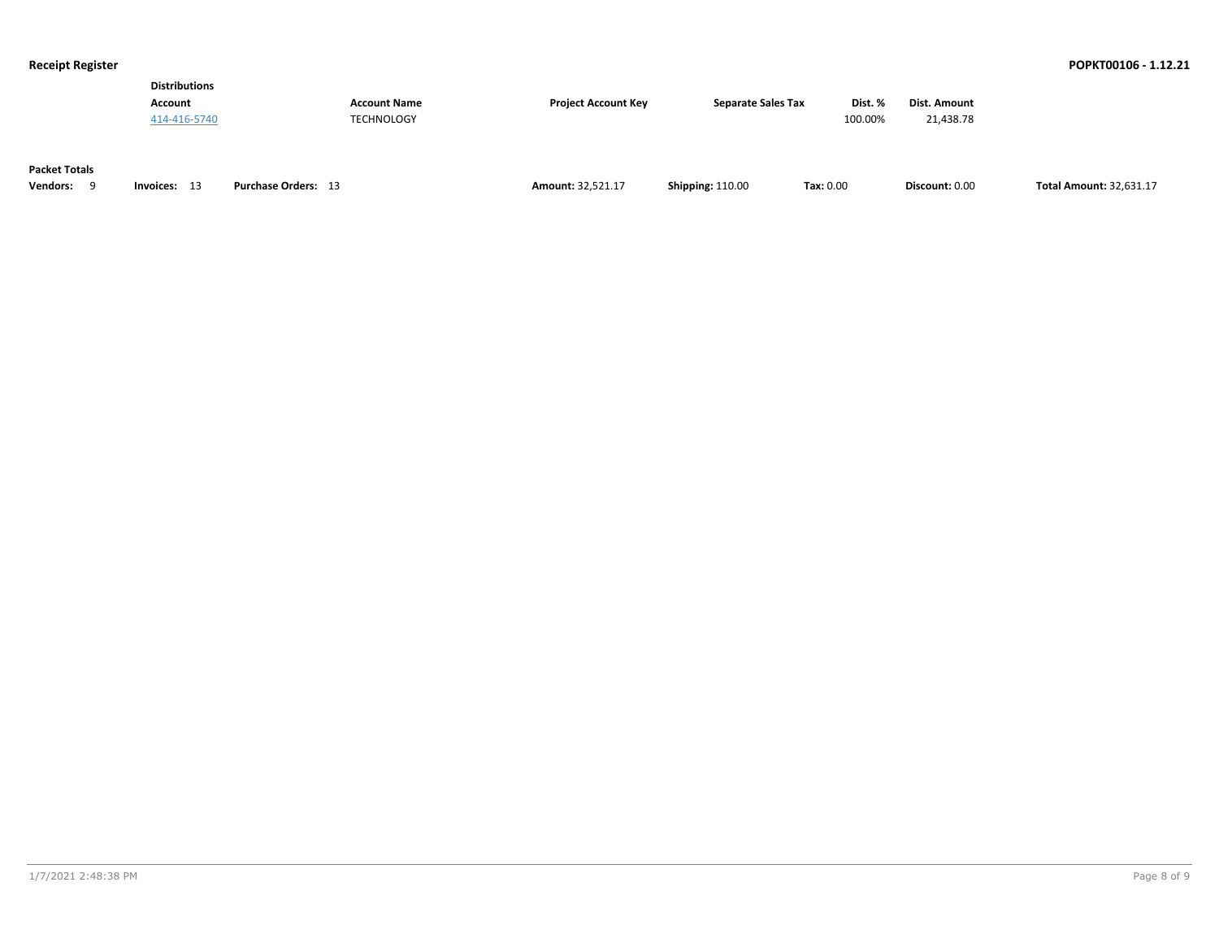| <b>Distributions</b> |                     |                            |                           |         |              |
|----------------------|---------------------|----------------------------|---------------------------|---------|--------------|
| Account              | <b>Account Name</b> | <b>Project Account Key</b> | <b>Separate Sales Tax</b> | Dist. % | Dist. Amount |
| 414-416-5740         | <b>TECHNOLOGY</b>   |                            |                           | 100.00% | 21,438.78    |
|                      |                     |                            |                           |         |              |

### **Packet Totals**

| Vendors: | Invoices: | <b>Purchase Orders:</b> | Amount: 32.521.17 | <b>Shipping: 110.00</b> | Tax: 0.00 | Discount: 0.00 | <b>Total Amount: 32.631.17</b> |
|----------|-----------|-------------------------|-------------------|-------------------------|-----------|----------------|--------------------------------|
|----------|-----------|-------------------------|-------------------|-------------------------|-----------|----------------|--------------------------------|